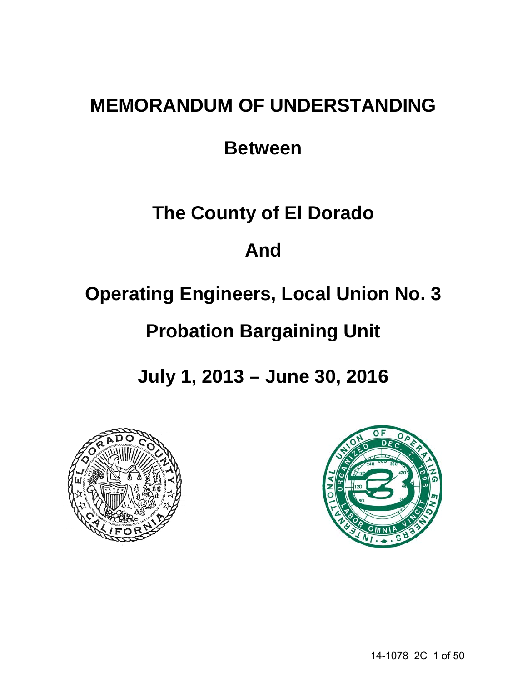# **MEMORANDUM OF UNDERSTANDING**

## **Between**

# **The County of El Dorado**

## **And**

# **Operating Engineers, Local Union No. 3**

# **Probation Bargaining Unit**

**July 1, 2013 – June 30, 2016**



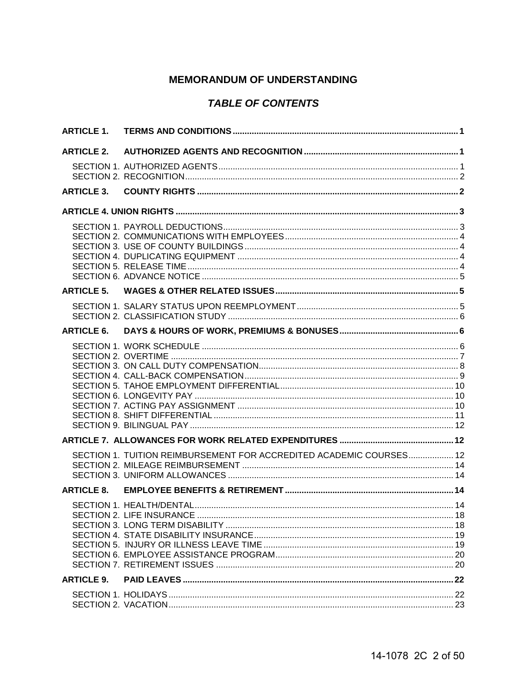## **MEMORANDUM OF UNDERSTANDING**

## **TABLE OF CONTENTS**

| <b>ARTICLE 1.</b> |                                                                     |  |
|-------------------|---------------------------------------------------------------------|--|
| <b>ARTICLE 2.</b> |                                                                     |  |
|                   |                                                                     |  |
| <b>ARTICLE 3.</b> |                                                                     |  |
|                   |                                                                     |  |
|                   |                                                                     |  |
| <b>ARTICLE 5.</b> |                                                                     |  |
|                   |                                                                     |  |
| <b>ARTICLE 6.</b> |                                                                     |  |
|                   |                                                                     |  |
|                   |                                                                     |  |
|                   | SECTION 1. TUITION REIMBURSEMENT FOR ACCREDITED ACADEMIC COURSES 12 |  |
| <b>ARTICLE 8.</b> |                                                                     |  |
|                   |                                                                     |  |
| <b>ARTICLE 9.</b> |                                                                     |  |
|                   |                                                                     |  |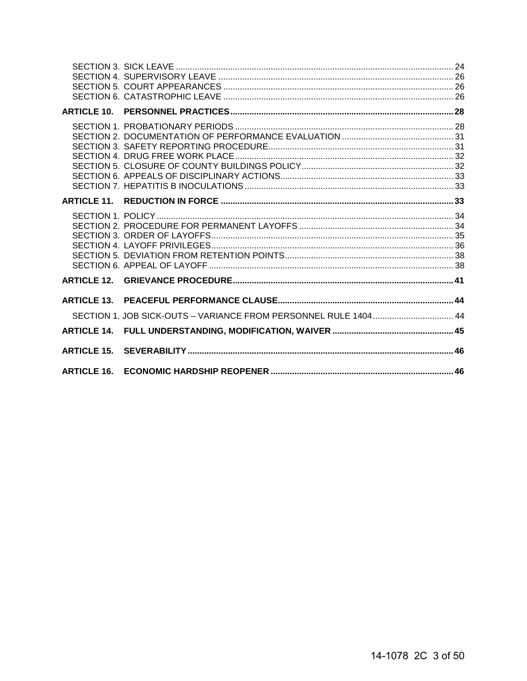| <b>ARTICLE 10.</b> |                                                                 |  |
|--------------------|-----------------------------------------------------------------|--|
|                    |                                                                 |  |
|                    |                                                                 |  |
|                    |                                                                 |  |
|                    |                                                                 |  |
| <b>ARTICLE 13.</b> | SECTION 1. JOB SICK-OUTS - VARIANCE FROM PERSONNEL RULE 1404 44 |  |
|                    |                                                                 |  |
|                    |                                                                 |  |
| <b>ARTICLE 16.</b> |                                                                 |  |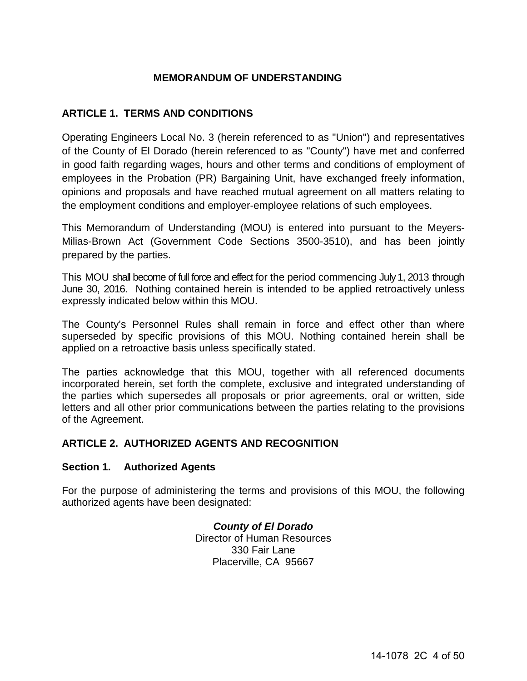## **MEMORANDUM OF UNDERSTANDING**

## <span id="page-3-0"></span>**ARTICLE 1. TERMS AND CONDITIONS**

Operating Engineers Local No. 3 (herein referenced to as "Union") and representatives of the County of El Dorado (herein referenced to as "County") have met and conferred in good faith regarding wages, hours and other terms and conditions of employment of employees in the Probation (PR) Bargaining Unit, have exchanged freely information, opinions and proposals and have reached mutual agreement on all matters relating to the employment conditions and employer-employee relations of such employees.

This Memorandum of Understanding (MOU) is entered into pursuant to the Meyers-Milias-Brown Act (Government Code Sections 3500-3510), and has been jointly prepared by the parties.

This MOU shall become of full force and effect for the period commencing July 1, 2013 through June 30, 2016. Nothing contained herein is intended to be applied retroactively unless expressly indicated below within this MOU.

The County's Personnel Rules shall remain in force and effect other than where superseded by specific provisions of this MOU. Nothing contained herein shall be applied on a retroactive basis unless specifically stated.

The parties acknowledge that this MOU, together with all referenced documents incorporated herein, set forth the complete, exclusive and integrated understanding of the parties which supersedes all proposals or prior agreements, oral or written, side letters and all other prior communications between the parties relating to the provisions of the Agreement.

## <span id="page-3-1"></span>**ARTICLE 2. AUTHORIZED AGENTS AND RECOGNITION**

## <span id="page-3-2"></span>**Section 1. Authorized Agents**

For the purpose of administering the terms and provisions of this MOU, the following authorized agents have been designated:

> *County of El Dorado* Director of Human Resources 330 Fair Lane Placerville, CA 95667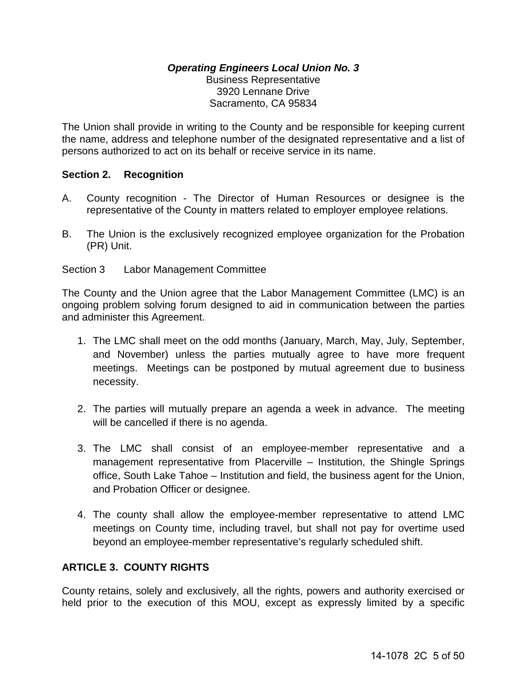## *Operating Engineers Local Union No. 3* Business Representative 3920 Lennane Drive Sacramento, CA 95834

The Union shall provide in writing to the County and be responsible for keeping current the name, address and telephone number of the designated representative and a list of persons authorized to act on its behalf or receive service in its name.

## <span id="page-4-0"></span>**Section 2. Recognition**

- A. County recognition The Director of Human Resources or designee is the representative of the County in matters related to employer employee relations.
- B. The Union is the exclusively recognized employee organization for the Probation (PR) Unit.
- Section 3 Labor Management Committee

The County and the Union agree that the Labor Management Committee (LMC) is an ongoing problem solving forum designed to aid in communication between the parties and administer this Agreement.

- 1. The LMC shall meet on the odd months (January, March, May, July, September, and November) unless the parties mutually agree to have more frequent meetings. Meetings can be postponed by mutual agreement due to business necessity.
- 2. The parties will mutually prepare an agenda a week in advance. The meeting will be cancelled if there is no agenda.
- 3. The LMC shall consist of an employee-member representative and a management representative from Placerville – Institution, the Shingle Springs office, South Lake Tahoe – Institution and field, the business agent for the Union, and Probation Officer or designee.
- 4. The county shall allow the employee-member representative to attend LMC meetings on County time, including travel, but shall not pay for overtime used beyond an employee-member representative's regularly scheduled shift.

## <span id="page-4-1"></span>**ARTICLE 3. COUNTY RIGHTS**

County retains, solely and exclusively, all the rights, powers and authority exercised or held prior to the execution of this MOU, except as expressly limited by a specific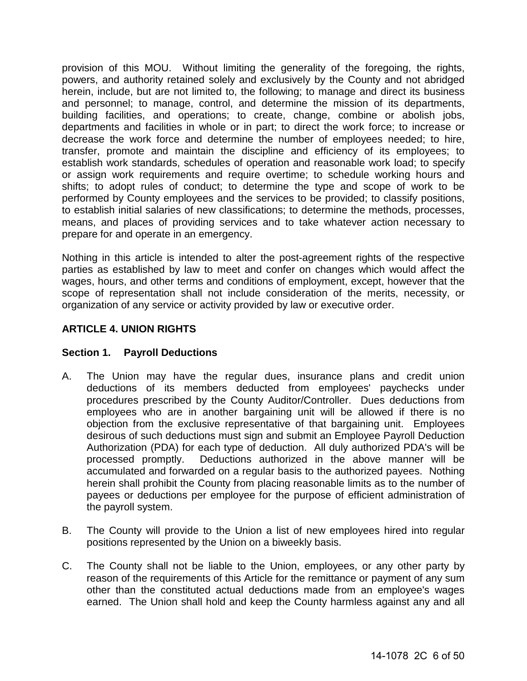provision of this MOU. Without limiting the generality of the foregoing, the rights, powers, and authority retained solely and exclusively by the County and not abridged herein, include, but are not limited to, the following; to manage and direct its business and personnel; to manage, control, and determine the mission of its departments, building facilities, and operations; to create, change, combine or abolish jobs, departments and facilities in whole or in part; to direct the work force; to increase or decrease the work force and determine the number of employees needed; to hire, transfer, promote and maintain the discipline and efficiency of its employees; to establish work standards, schedules of operation and reasonable work load; to specify or assign work requirements and require overtime; to schedule working hours and shifts; to adopt rules of conduct; to determine the type and scope of work to be performed by County employees and the services to be provided; to classify positions, to establish initial salaries of new classifications; to determine the methods, processes, means, and places of providing services and to take whatever action necessary to prepare for and operate in an emergency.

Nothing in this article is intended to alter the post-agreement rights of the respective parties as established by law to meet and confer on changes which would affect the wages, hours, and other terms and conditions of employment, except, however that the scope of representation shall not include consideration of the merits, necessity, or organization of any service or activity provided by law or executive order.

## <span id="page-5-0"></span>**ARTICLE 4. UNION RIGHTS**

## <span id="page-5-1"></span>**Section 1. Payroll Deductions**

- A. The Union may have the regular dues, insurance plans and credit union deductions of its members deducted from employees' paychecks under procedures prescribed by the County Auditor/Controller. Dues deductions from employees who are in another bargaining unit will be allowed if there is no objection from the exclusive representative of that bargaining unit. Employees desirous of such deductions must sign and submit an Employee Payroll Deduction Authorization (PDA) for each type of deduction. All duly authorized PDA's will be processed promptly. Deductions authorized in the above manner will be accumulated and forwarded on a regular basis to the authorized payees. Nothing herein shall prohibit the County from placing reasonable limits as to the number of payees or deductions per employee for the purpose of efficient administration of the payroll system.
- B. The County will provide to the Union a list of new employees hired into regular positions represented by the Union on a biweekly basis.
- C. The County shall not be liable to the Union, employees, or any other party by reason of the requirements of this Article for the remittance or payment of any sum other than the constituted actual deductions made from an employee's wages earned. The Union shall hold and keep the County harmless against any and all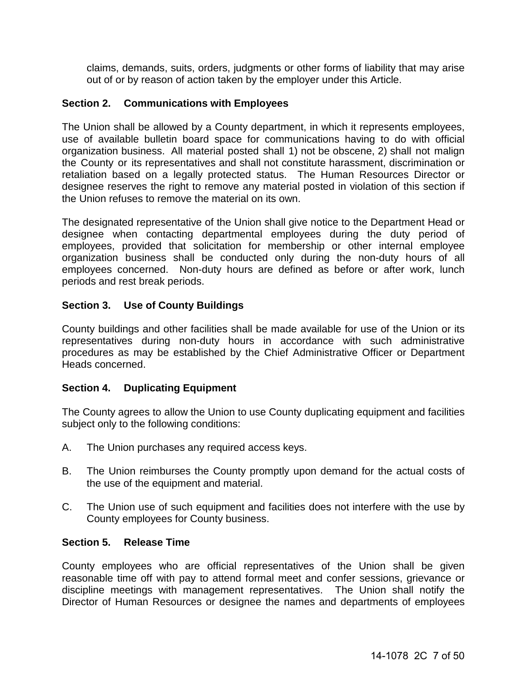claims, demands, suits, orders, judgments or other forms of liability that may arise out of or by reason of action taken by the employer under this Article.

## <span id="page-6-0"></span>**Section 2. Communications with Employees**

The Union shall be allowed by a County department, in which it represents employees, use of available bulletin board space for communications having to do with official organization business. All material posted shall 1) not be obscene, 2) shall not malign the County or its representatives and shall not constitute harassment, discrimination or retaliation based on a legally protected status. The Human Resources Director or designee reserves the right to remove any material posted in violation of this section if the Union refuses to remove the material on its own.

The designated representative of the Union shall give notice to the Department Head or designee when contacting departmental employees during the duty period of employees, provided that solicitation for membership or other internal employee organization business shall be conducted only during the non-duty hours of all employees concerned. Non-duty hours are defined as before or after work, lunch periods and rest break periods.

## <span id="page-6-1"></span>**Section 3. Use of County Buildings**

County buildings and other facilities shall be made available for use of the Union or its representatives during non-duty hours in accordance with such administrative procedures as may be established by the Chief Administrative Officer or Department Heads concerned.

## <span id="page-6-2"></span>**Section 4. Duplicating Equipment**

The County agrees to allow the Union to use County duplicating equipment and facilities subject only to the following conditions:

- A. The Union purchases any required access keys.
- B. The Union reimburses the County promptly upon demand for the actual costs of the use of the equipment and material.
- C. The Union use of such equipment and facilities does not interfere with the use by County employees for County business.

#### <span id="page-6-3"></span>**Section 5. Release Time**

County employees who are official representatives of the Union shall be given reasonable time off with pay to attend formal meet and confer sessions, grievance or discipline meetings with management representatives. The Union shall notify the Director of Human Resources or designee the names and departments of employees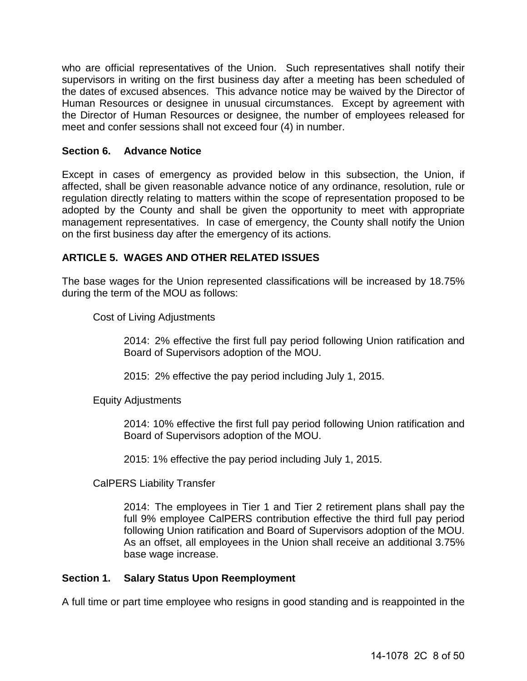who are official representatives of the Union. Such representatives shall notify their supervisors in writing on the first business day after a meeting has been scheduled of the dates of excused absences. This advance notice may be waived by the Director of Human Resources or designee in unusual circumstances. Except by agreement with the Director of Human Resources or designee, the number of employees released for meet and confer sessions shall not exceed four (4) in number.

## <span id="page-7-0"></span>**Section 6. Advance Notice**

Except in cases of emergency as provided below in this subsection, the Union, if affected, shall be given reasonable advance notice of any ordinance, resolution, rule or regulation directly relating to matters within the scope of representation proposed to be adopted by the County and shall be given the opportunity to meet with appropriate management representatives. In case of emergency, the County shall notify the Union on the first business day after the emergency of its actions.

## <span id="page-7-1"></span>**ARTICLE 5. WAGES AND OTHER RELATED ISSUES**

The base wages for the Union represented classifications will be increased by 18.75% during the term of the MOU as follows:

Cost of Living Adjustments

2014: 2% effective the first full pay period following Union ratification and Board of Supervisors adoption of the MOU.

2015: 2% effective the pay period including July 1, 2015.

Equity Adjustments

2014: 10% effective the first full pay period following Union ratification and Board of Supervisors adoption of the MOU.

2015: 1% effective the pay period including July 1, 2015.

CalPERS Liability Transfer

2014: The employees in Tier 1 and Tier 2 retirement plans shall pay the full 9% employee CalPERS contribution effective the third full pay period following Union ratification and Board of Supervisors adoption of the MOU. As an offset, all employees in the Union shall receive an additional 3.75% base wage increase.

## <span id="page-7-2"></span>**Section 1. Salary Status Upon Reemployment**

A full time or part time employee who resigns in good standing and is reappointed in the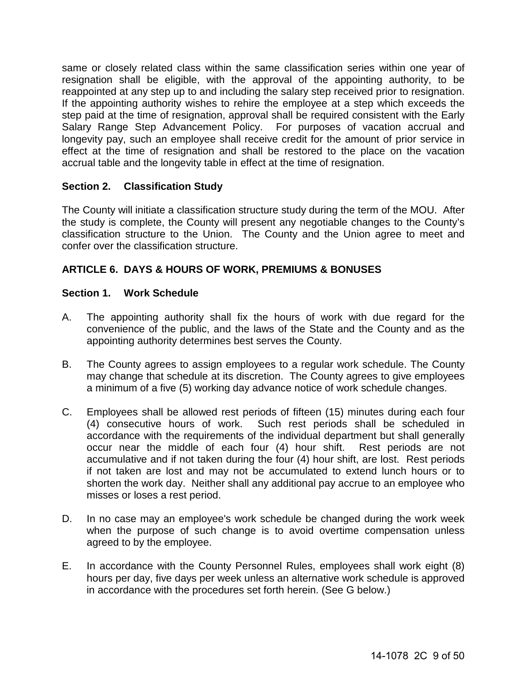same or closely related class within the same classification series within one year of resignation shall be eligible, with the approval of the appointing authority, to be reappointed at any step up to and including the salary step received prior to resignation. If the appointing authority wishes to rehire the employee at a step which exceeds the step paid at the time of resignation, approval shall be required consistent with the Early Salary Range Step Advancement Policy. For purposes of vacation accrual and longevity pay, such an employee shall receive credit for the amount of prior service in effect at the time of resignation and shall be restored to the place on the vacation accrual table and the longevity table in effect at the time of resignation.

## <span id="page-8-0"></span>**Section 2. Classification Study**

The County will initiate a classification structure study during the term of the MOU. After the study is complete, the County will present any negotiable changes to the County's classification structure to the Union. The County and the Union agree to meet and confer over the classification structure.

## <span id="page-8-1"></span>**ARTICLE 6. DAYS & HOURS OF WORK, PREMIUMS & BONUSES**

## <span id="page-8-2"></span>**Section 1. Work Schedule**

- A. The appointing authority shall fix the hours of work with due regard for the convenience of the public, and the laws of the State and the County and as the appointing authority determines best serves the County.
- B. The County agrees to assign employees to a regular work schedule. The County may change that schedule at its discretion. The County agrees to give employees a minimum of a five (5) working day advance notice of work schedule changes.
- C. Employees shall be allowed rest periods of fifteen (15) minutes during each four (4) consecutive hours of work. Such rest periods shall be scheduled in accordance with the requirements of the individual department but shall generally occur near the middle of each four (4) hour shift. Rest periods are not accumulative and if not taken during the four (4) hour shift, are lost. Rest periods if not taken are lost and may not be accumulated to extend lunch hours or to shorten the work day. Neither shall any additional pay accrue to an employee who misses or loses a rest period.
- D. In no case may an employee's work schedule be changed during the work week when the purpose of such change is to avoid overtime compensation unless agreed to by the employee.
- E. In accordance with the County Personnel Rules, employees shall work eight (8) hours per day, five days per week unless an alternative work schedule is approved in accordance with the procedures set forth herein. (See G below.)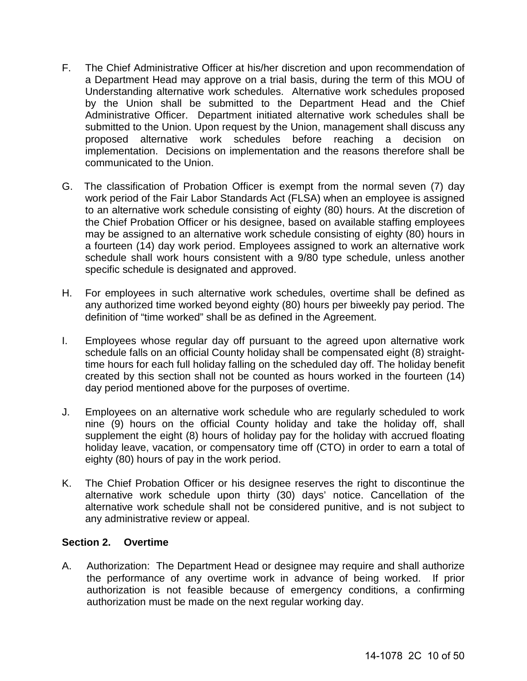- F. The Chief Administrative Officer at his/her discretion and upon recommendation of a Department Head may approve on a trial basis, during the term of this MOU of Understanding alternative work schedules. Alternative work schedules proposed by the Union shall be submitted to the Department Head and the Chief Administrative Officer. Department initiated alternative work schedules shall be submitted to the Union. Upon request by the Union, management shall discuss any proposed alternative work schedules before reaching a decision on implementation. Decisions on implementation and the reasons therefore shall be communicated to the Union.
- G. The classification of Probation Officer is exempt from the normal seven (7) day work period of the Fair Labor Standards Act (FLSA) when an employee is assigned to an alternative work schedule consisting of eighty (80) hours. At the discretion of the Chief Probation Officer or his designee, based on available staffing employees may be assigned to an alternative work schedule consisting of eighty (80) hours in a fourteen (14) day work period. Employees assigned to work an alternative work schedule shall work hours consistent with a 9/80 type schedule, unless another specific schedule is designated and approved.
- H. For employees in such alternative work schedules, overtime shall be defined as any authorized time worked beyond eighty (80) hours per biweekly pay period. The definition of "time worked" shall be as defined in the Agreement.
- I. Employees whose regular day off pursuant to the agreed upon alternative work schedule falls on an official County holiday shall be compensated eight (8) straighttime hours for each full holiday falling on the scheduled day off. The holiday benefit created by this section shall not be counted as hours worked in the fourteen (14) day period mentioned above for the purposes of overtime.
- J. Employees on an alternative work schedule who are regularly scheduled to work nine (9) hours on the official County holiday and take the holiday off, shall supplement the eight (8) hours of holiday pay for the holiday with accrued floating holiday leave, vacation, or compensatory time off (CTO) in order to earn a total of eighty (80) hours of pay in the work period.
- K. The Chief Probation Officer or his designee reserves the right to discontinue the alternative work schedule upon thirty (30) days' notice. Cancellation of the alternative work schedule shall not be considered punitive, and is not subject to any administrative review or appeal.

## <span id="page-9-0"></span>**Section 2. Overtime**

A. Authorization: The Department Head or designee may require and shall authorize the performance of any overtime work in advance of being worked. If prior authorization is not feasible because of emergency conditions, a confirming authorization must be made on the next regular working day.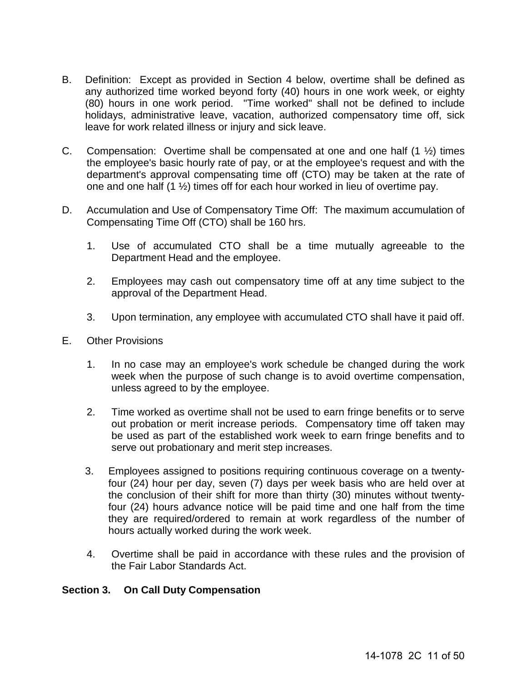- B. Definition: Except as provided in Section 4 below, overtime shall be defined as any authorized time worked beyond forty (40) hours in one work week, or eighty (80) hours in one work period. "Time worked" shall not be defined to include holidays, administrative leave, vacation, authorized compensatory time off, sick leave for work related illness or injury and sick leave.
- C. Compensation: Overtime shall be compensated at one and one half  $(1 \frac{1}{2})$  times the employee's basic hourly rate of pay, or at the employee's request and with the department's approval compensating time off (CTO) may be taken at the rate of one and one half (1 ½) times off for each hour worked in lieu of overtime pay.
- D. Accumulation and Use of Compensatory Time Off: The maximum accumulation of Compensating Time Off (CTO) shall be 160 hrs.
	- 1. Use of accumulated CTO shall be a time mutually agreeable to the Department Head and the employee.
	- 2. Employees may cash out compensatory time off at any time subject to the approval of the Department Head.
	- 3. Upon termination, any employee with accumulated CTO shall have it paid off.
- E. Other Provisions
	- 1. In no case may an employee's work schedule be changed during the work week when the purpose of such change is to avoid overtime compensation, unless agreed to by the employee.
	- 2. Time worked as overtime shall not be used to earn fringe benefits or to serve out probation or merit increase periods. Compensatory time off taken may be used as part of the established work week to earn fringe benefits and to serve out probationary and merit step increases.
	- 3. Employees assigned to positions requiring continuous coverage on a twentyfour (24) hour per day, seven (7) days per week basis who are held over at the conclusion of their shift for more than thirty (30) minutes without twentyfour (24) hours advance notice will be paid time and one half from the time they are required/ordered to remain at work regardless of the number of hours actually worked during the work week.
	- 4. Overtime shall be paid in accordance with these rules and the provision of the Fair Labor Standards Act.

## <span id="page-10-0"></span>**Section 3. On Call Duty Compensation**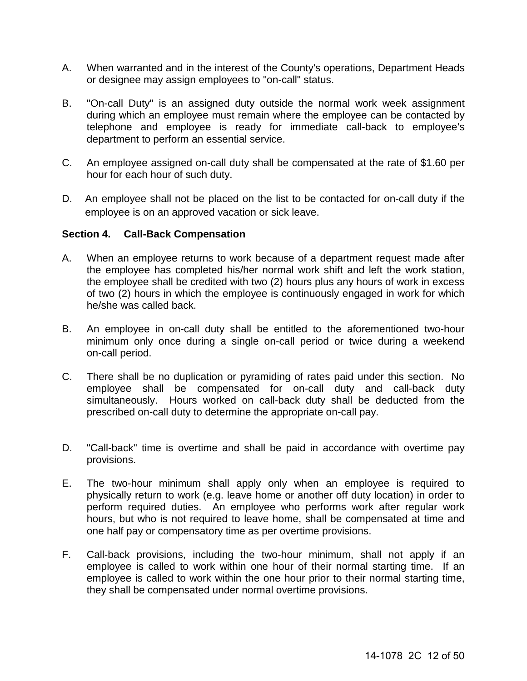- A. When warranted and in the interest of the County's operations, Department Heads or designee may assign employees to "on-call" status.
- B. "On-call Duty" is an assigned duty outside the normal work week assignment during which an employee must remain where the employee can be contacted by telephone and employee is ready for immediate call-back to employee's department to perform an essential service.
- C. An employee assigned on-call duty shall be compensated at the rate of \$1.60 per hour for each hour of such duty.
- D. An employee shall not be placed on the list to be contacted for on-call duty if the employee is on an approved vacation or sick leave.

#### <span id="page-11-0"></span>**Section 4. Call-Back Compensation**

- A. When an employee returns to work because of a department request made after the employee has completed his/her normal work shift and left the work station, the employee shall be credited with two (2) hours plus any hours of work in excess of two (2) hours in which the employee is continuously engaged in work for which he/she was called back.
- B. An employee in on-call duty shall be entitled to the aforementioned two-hour minimum only once during a single on-call period or twice during a weekend on-call period.
- C. There shall be no duplication or pyramiding of rates paid under this section. No employee shall be compensated for on-call duty and call-back duty simultaneously. Hours worked on call-back duty shall be deducted from the prescribed on-call duty to determine the appropriate on-call pay.
- D. "Call-back" time is overtime and shall be paid in accordance with overtime pay provisions.
- E. The two-hour minimum shall apply only when an employee is required to physically return to work (e.g. leave home or another off duty location) in order to perform required duties. An employee who performs work after regular work hours, but who is not required to leave home, shall be compensated at time and one half pay or compensatory time as per overtime provisions.
- F. Call-back provisions, including the two-hour minimum, shall not apply if an employee is called to work within one hour of their normal starting time. If an employee is called to work within the one hour prior to their normal starting time, they shall be compensated under normal overtime provisions.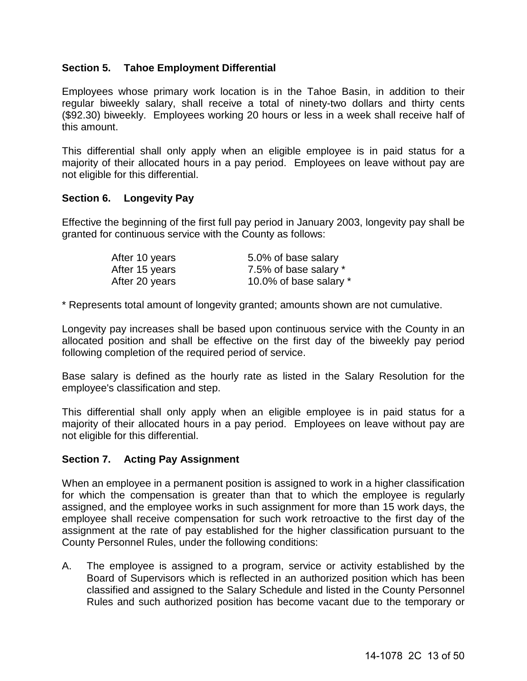## <span id="page-12-0"></span>**Section 5. Tahoe Employment Differential**

Employees whose primary work location is in the Tahoe Basin, in addition to their regular biweekly salary, shall receive a total of ninety-two dollars and thirty cents (\$92.30) biweekly. Employees working 20 hours or less in a week shall receive half of this amount.

This differential shall only apply when an eligible employee is in paid status for a majority of their allocated hours in a pay period. Employees on leave without pay are not eligible for this differential.

## <span id="page-12-1"></span>**Section 6. Longevity Pay**

Effective the beginning of the first full pay period in January 2003, longevity pay shall be granted for continuous service with the County as follows:

| After 10 years | 5.0% of base salary    |
|----------------|------------------------|
| After 15 years | 7.5% of base salary *  |
| After 20 years | 10.0% of base salary * |

\* Represents total amount of longevity granted; amounts shown are not cumulative.

Longevity pay increases shall be based upon continuous service with the County in an allocated position and shall be effective on the first day of the biweekly pay period following completion of the required period of service.

Base salary is defined as the hourly rate as listed in the Salary Resolution for the employee's classification and step.

This differential shall only apply when an eligible employee is in paid status for a majority of their allocated hours in a pay period. Employees on leave without pay are not eligible for this differential.

## <span id="page-12-2"></span>**Section 7. Acting Pay Assignment**

When an employee in a permanent position is assigned to work in a higher classification for which the compensation is greater than that to which the employee is regularly assigned, and the employee works in such assignment for more than 15 work days, the employee shall receive compensation for such work retroactive to the first day of the assignment at the rate of pay established for the higher classification pursuant to the County Personnel Rules, under the following conditions:

A. The employee is assigned to a program, service or activity established by the Board of Supervisors which is reflected in an authorized position which has been classified and assigned to the Salary Schedule and listed in the County Personnel Rules and such authorized position has become vacant due to the temporary or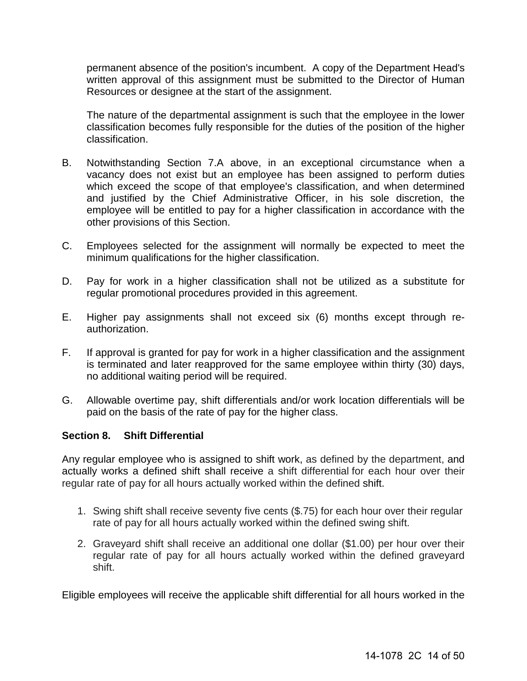permanent absence of the position's incumbent. A copy of the Department Head's written approval of this assignment must be submitted to the Director of Human Resources or designee at the start of the assignment.

The nature of the departmental assignment is such that the employee in the lower classification becomes fully responsible for the duties of the position of the higher classification.

- B. Notwithstanding Section 7.A above, in an exceptional circumstance when a vacancy does not exist but an employee has been assigned to perform duties which exceed the scope of that employee's classification, and when determined and justified by the Chief Administrative Officer, in his sole discretion, the employee will be entitled to pay for a higher classification in accordance with the other provisions of this Section.
- C. Employees selected for the assignment will normally be expected to meet the minimum qualifications for the higher classification.
- D. Pay for work in a higher classification shall not be utilized as a substitute for regular promotional procedures provided in this agreement.
- E. Higher pay assignments shall not exceed six (6) months except through reauthorization.
- F. If approval is granted for pay for work in a higher classification and the assignment is terminated and later reapproved for the same employee within thirty (30) days, no additional waiting period will be required.
- G. Allowable overtime pay, shift differentials and/or work location differentials will be paid on the basis of the rate of pay for the higher class.

#### <span id="page-13-0"></span>**Section 8. Shift Differential**

Any regular employee who is assigned to shift work, as defined by the department, and actually works a defined shift shall receive a shift differential for each hour over their regular rate of pay for all hours actually worked within the defined shift.

- 1. Swing shift shall receive seventy five cents (\$.75) for each hour over their regular rate of pay for all hours actually worked within the defined swing shift.
- 2. Graveyard shift shall receive an additional one dollar (\$1.00) per hour over their regular rate of pay for all hours actually worked within the defined graveyard shift.

Eligible employees will receive the applicable shift differential for all hours worked in the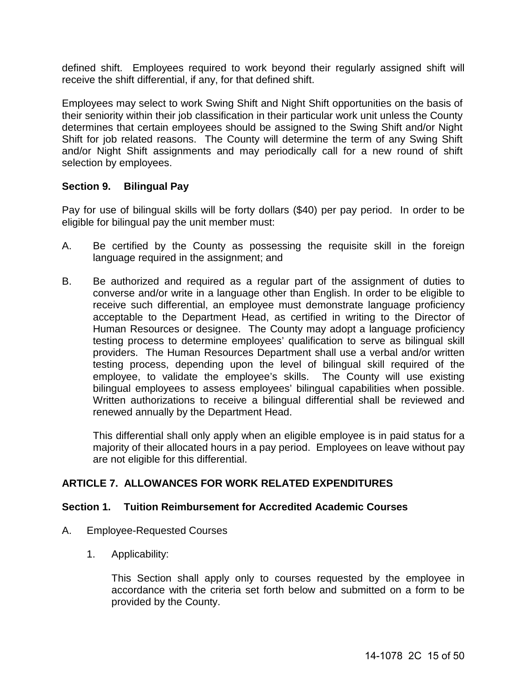defined shift. Employees required to work beyond their regularly assigned shift will receive the shift differential, if any, for that defined shift.

Employees may select to work Swing Shift and Night Shift opportunities on the basis of their seniority within their job classification in their particular work unit unless the County determines that certain employees should be assigned to the Swing Shift and/or Night Shift for job related reasons. The County will determine the term of any Swing Shift and/or Night Shift assignments and may periodically call for a new round of shift selection by employees.

## <span id="page-14-0"></span>**Section 9. Bilingual Pay**

Pay for use of bilingual skills will be forty dollars (\$40) per pay period. In order to be eligible for bilingual pay the unit member must:

- A. Be certified by the County as possessing the requisite skill in the foreign language required in the assignment; and
- B. Be authorized and required as a regular part of the assignment of duties to converse and/or write in a language other than English. In order to be eligible to receive such differential, an employee must demonstrate language proficiency acceptable to the Department Head, as certified in writing to the Director of Human Resources or designee. The County may adopt a language proficiency testing process to determine employees' qualification to serve as bilingual skill providers. The Human Resources Department shall use a verbal and/or written testing process, depending upon the level of bilingual skill required of the employee, to validate the employee's skills. The County will use existing bilingual employees to assess employees' bilingual capabilities when possible. Written authorizations to receive a bilingual differential shall be reviewed and renewed annually by the Department Head.

This differential shall only apply when an eligible employee is in paid status for a majority of their allocated hours in a pay period. Employees on leave without pay are not eligible for this differential.

## <span id="page-14-1"></span>**ARTICLE 7. ALLOWANCES FOR WORK RELATED EXPENDITURES**

#### <span id="page-14-2"></span>**Section 1. Tuition Reimbursement for Accredited Academic Courses**

- A. Employee-Requested Courses
	- 1. Applicability:

This Section shall apply only to courses requested by the employee in accordance with the criteria set forth below and submitted on a form to be provided by the County.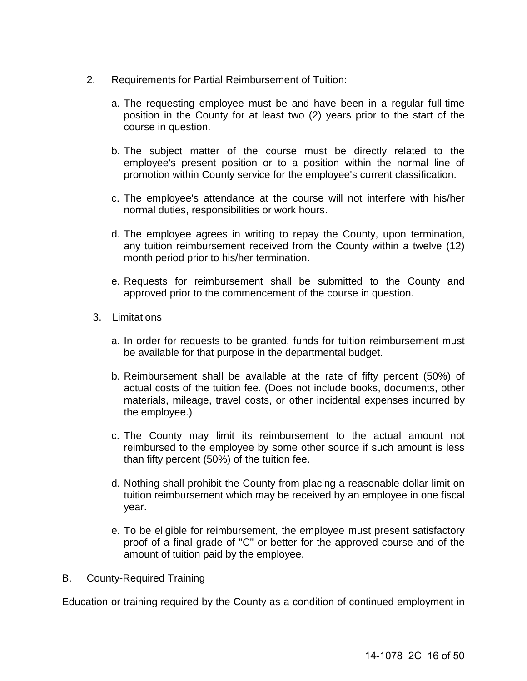- 2. Requirements for Partial Reimbursement of Tuition:
	- a. The requesting employee must be and have been in a regular full-time position in the County for at least two (2) years prior to the start of the course in question.
	- b. The subject matter of the course must be directly related to the employee's present position or to a position within the normal line of promotion within County service for the employee's current classification.
	- c. The employee's attendance at the course will not interfere with his/her normal duties, responsibilities or work hours.
	- d. The employee agrees in writing to repay the County, upon termination, any tuition reimbursement received from the County within a twelve (12) month period prior to his/her termination.
	- e. Requests for reimbursement shall be submitted to the County and approved prior to the commencement of the course in question.
	- 3. Limitations
		- a. In order for requests to be granted, funds for tuition reimbursement must be available for that purpose in the departmental budget.
		- b. Reimbursement shall be available at the rate of fifty percent (50%) of actual costs of the tuition fee. (Does not include books, documents, other materials, mileage, travel costs, or other incidental expenses incurred by the employee.)
		- c. The County may limit its reimbursement to the actual amount not reimbursed to the employee by some other source if such amount is less than fifty percent (50%) of the tuition fee.
		- d. Nothing shall prohibit the County from placing a reasonable dollar limit on tuition reimbursement which may be received by an employee in one fiscal year.
		- e. To be eligible for reimbursement, the employee must present satisfactory proof of a final grade of "C" or better for the approved course and of the amount of tuition paid by the employee.
- B. County-Required Training

Education or training required by the County as a condition of continued employment in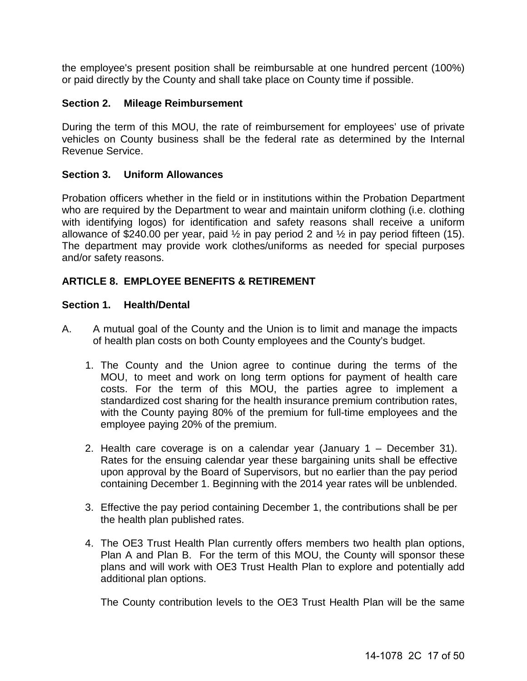the employee's present position shall be reimbursable at one hundred percent (100%) or paid directly by the County and shall take place on County time if possible.

#### <span id="page-16-0"></span>**Section 2. Mileage Reimbursement**

During the term of this MOU, the rate of reimbursement for employees' use of private vehicles on County business shall be the federal rate as determined by the Internal Revenue Service.

#### <span id="page-16-1"></span>**Section 3. Uniform Allowances**

Probation officers whether in the field or in institutions within the Probation Department who are required by the Department to wear and maintain uniform clothing (i.e. clothing with identifying logos) for identification and safety reasons shall receive a uniform allowance of  $$240.00$  per year, paid  $\frac{1}{2}$  in pay period 2 and  $\frac{1}{2}$  in pay period fifteen (15). The department may provide work clothes/uniforms as needed for special purposes and/or safety reasons.

## <span id="page-16-2"></span>**ARTICLE 8. EMPLOYEE BENEFITS & RETIREMENT**

#### <span id="page-16-3"></span>**Section 1. Health/Dental**

- A. A mutual goal of the County and the Union is to limit and manage the impacts of health plan costs on both County employees and the County's budget.
	- 1. The County and the Union agree to continue during the terms of the MOU, to meet and work on long term options for payment of health care costs. For the term of this MOU, the parties agree to implement a standardized cost sharing for the health insurance premium contribution rates, with the County paying 80% of the premium for full-time employees and the employee paying 20% of the premium.
	- 2. Health care coverage is on a calendar year (January 1 December 31). Rates for the ensuing calendar year these bargaining units shall be effective upon approval by the Board of Supervisors, but no earlier than the pay period containing December 1. Beginning with the 2014 year rates will be unblended.
	- 3. Effective the pay period containing December 1, the contributions shall be per the health plan published rates.
	- 4. The OE3 Trust Health Plan currently offers members two health plan options, Plan A and Plan B. For the term of this MOU, the County will sponsor these plans and will work with OE3 Trust Health Plan to explore and potentially add additional plan options.

The County contribution levels to the OE3 Trust Health Plan will be the same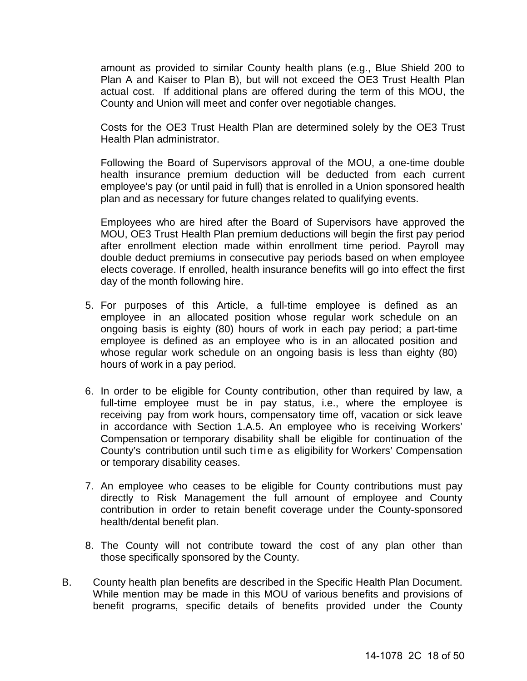amount as provided to similar County health plans (e.g., Blue Shield 200 to Plan A and Kaiser to Plan B), but will not exceed the OE3 Trust Health Plan actual cost. If additional plans are offered during the term of this MOU, the County and Union will meet and confer over negotiable changes.

Costs for the OE3 Trust Health Plan are determined solely by the OE3 Trust Health Plan administrator.

Following the Board of Supervisors approval of the MOU, a one-time double health insurance premium deduction will be deducted from each current employee's pay (or until paid in full) that is enrolled in a Union sponsored health plan and as necessary for future changes related to qualifying events.

Employees who are hired after the Board of Supervisors have approved the MOU, OE3 Trust Health Plan premium deductions will begin the first pay period after enrollment election made within enrollment time period. Payroll may double deduct premiums in consecutive pay periods based on when employee elects coverage. If enrolled, health insurance benefits will go into effect the first day of the month following hire.

- 5. For purposes of this Article, a full-time employee is defined as an employee in an allocated position whose regular work schedule on an ongoing basis is eighty (80) hours of work in each pay period; a part-time employee is defined as an employee who is in an allocated position and whose regular work schedule on an ongoing basis is less than eighty (80) hours of work in a pay period.
- 6. In order to be eligible for County contribution, other than required by law, a full-time employee must be in pay status, i.e., where the employee is receiving pay from work hours, compensatory time off, vacation or sick leave in accordance with Section 1.A.5. An employee who is receiving Workers' Compensation or temporary disability shall be eligible for continuation of the County's contribution until such time as eligibility for Workers' Compensation or temporary disability ceases.
- 7. An employee who ceases to be eligible for County contributions must pay directly to Risk Management the full amount of employee and County contribution in order to retain benefit coverage under the County-sponsored health/dental benefit plan.
- 8. The County will not contribute toward the cost of any plan other than those specifically sponsored by the County.
- B. County health plan benefits are described in the Specific Health Plan Document. While mention may be made in this MOU of various benefits and provisions of benefit programs, specific details of benefits provided under the County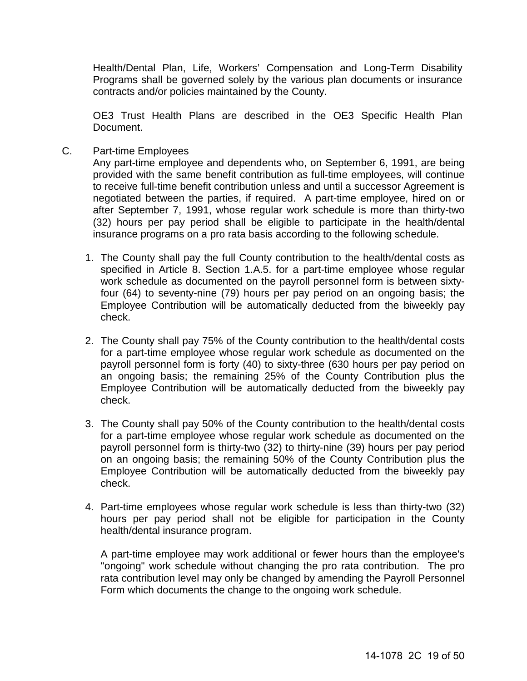Health/Dental Plan, Life, Workers' Compensation and Long-Term Disability Programs shall be governed solely by the various plan documents or insurance contracts and/or policies maintained by the County.

OE3 Trust Health Plans are described in the OE3 Specific Health Plan Document.

C. Part-time Employees

Any part-time employee and dependents who, on September 6, 1991, are being provided with the same benefit contribution as full-time employees, will continue to receive full-time benefit contribution unless and until a successor Agreement is negotiated between the parties, if required. A part-time employee, hired on or after September 7, 1991, whose regular work schedule is more than thirty-two (32) hours per pay period shall be eligible to participate in the health/dental insurance programs on a pro rata basis according to the following schedule.

- 1. The County shall pay the full County contribution to the health/dental costs as specified in Article 8. Section 1.A.5. for a part-time employee whose regular work schedule as documented on the payroll personnel form is between sixtyfour (64) to seventy-nine (79) hours per pay period on an ongoing basis; the Employee Contribution will be automatically deducted from the biweekly pay check.
- 2. The County shall pay 75% of the County contribution to the health/dental costs for a part-time employee whose regular work schedule as documented on the payroll personnel form is forty (40) to sixty-three (630 hours per pay period on an ongoing basis; the remaining 25% of the County Contribution plus the Employee Contribution will be automatically deducted from the biweekly pay check.
- 3. The County shall pay 50% of the County contribution to the health/dental costs for a part-time employee whose regular work schedule as documented on the payroll personnel form is thirty-two (32) to thirty-nine (39) hours per pay period on an ongoing basis; the remaining 50% of the County Contribution plus the Employee Contribution will be automatically deducted from the biweekly pay check.
- 4. Part-time employees whose regular work schedule is less than thirty-two (32) hours per pay period shall not be eligible for participation in the County health/dental insurance program.

A part-time employee may work additional or fewer hours than the employee's "ongoing" work schedule without changing the pro rata contribution. The pro rata contribution level may only be changed by amending the Payroll Personnel Form which documents the change to the ongoing work schedule.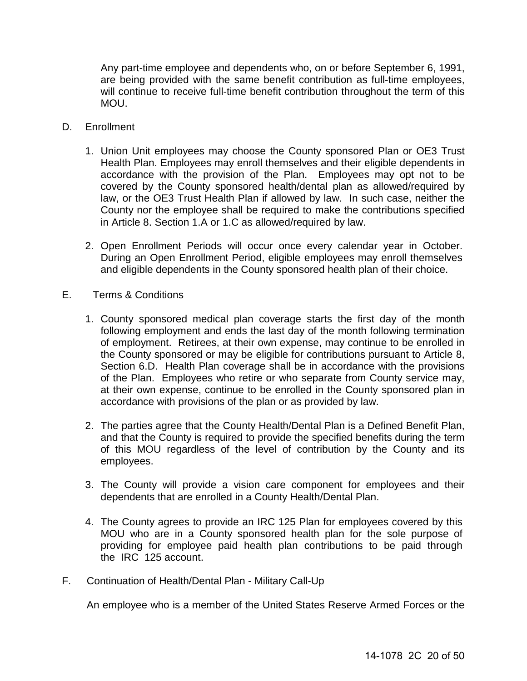Any part-time employee and dependents who, on or before September 6, 1991, are being provided with the same benefit contribution as full-time employees, will continue to receive full-time benefit contribution throughout the term of this MOU.

- D. Enrollment
	- 1. Union Unit employees may choose the County sponsored Plan or OE3 Trust Health Plan. Employees may enroll themselves and their eligible dependents in accordance with the provision of the Plan. Employees may opt not to be covered by the County sponsored health/dental plan as allowed/required by law, or the OE3 Trust Health Plan if allowed by law. In such case, neither the County nor the employee shall be required to make the contributions specified in Article 8. Section 1.A or 1.C as allowed/required by law.
	- 2. Open Enrollment Periods will occur once every calendar year in October. During an Open Enrollment Period, eligible employees may enroll themselves and eligible dependents in the County sponsored health plan of their choice.
- E. Terms & Conditions
	- 1. County sponsored medical plan coverage starts the first day of the month following employment and ends the last day of the month following termination of employment. Retirees, at their own expense, may continue to be enrolled in the County sponsored or may be eligible for contributions pursuant to Article 8, Section 6.D. Health Plan coverage shall be in accordance with the provisions of the Plan. Employees who retire or who separate from County service may, at their own expense, continue to be enrolled in the County sponsored plan in accordance with provisions of the plan or as provided by law.
	- 2. The parties agree that the County Health/Dental Plan is a Defined Benefit Plan, and that the County is required to provide the specified benefits during the term of this MOU regardless of the level of contribution by the County and its employees.
	- 3. The County will provide a vision care component for employees and their dependents that are enrolled in a County Health/Dental Plan.
	- 4. The County agrees to provide an IRC 125 Plan for employees covered by this MOU who are in a County sponsored health plan for the sole purpose of providing for employee paid health plan contributions to be paid through the IRC 125 account.
- F. Continuation of Health/Dental Plan Military Call-Up

An employee who is a member of the United States Reserve Armed Forces or the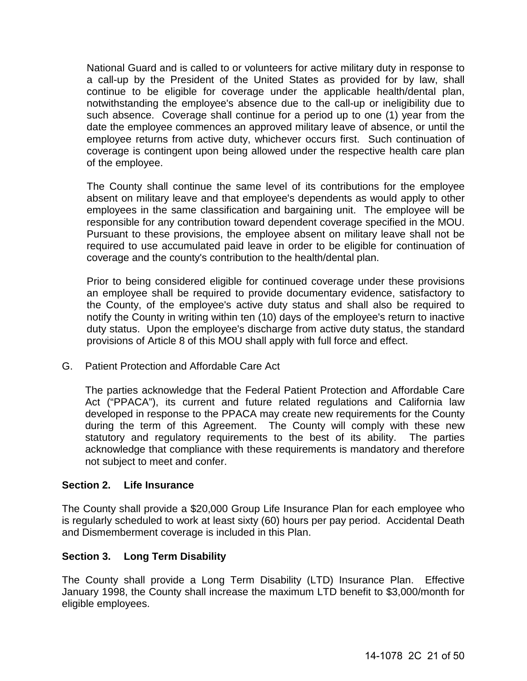National Guard and is called to or volunteers for active military duty in response to a call-up by the President of the United States as provided for by law, shall continue to be eligible for coverage under the applicable health/dental plan, notwithstanding the employee's absence due to the call-up or ineligibility due to such absence. Coverage shall continue for a period up to one (1) year from the date the employee commences an approved military leave of absence, or until the employee returns from active duty, whichever occurs first. Such continuation of coverage is contingent upon being allowed under the respective health care plan of the employee.

The County shall continue the same level of its contributions for the employee absent on military leave and that employee's dependents as would apply to other employees in the same classification and bargaining unit. The employee will be responsible for any contribution toward dependent coverage specified in the MOU. Pursuant to these provisions, the employee absent on military leave shall not be required to use accumulated paid leave in order to be eligible for continuation of coverage and the county's contribution to the health/dental plan.

Prior to being considered eligible for continued coverage under these provisions an employee shall be required to provide documentary evidence, satisfactory to the County, of the employee's active duty status and shall also be required to notify the County in writing within ten (10) days of the employee's return to inactive duty status. Upon the employee's discharge from active duty status, the standard provisions of Article 8 of this MOU shall apply with full force and effect.

G. Patient Protection and Affordable Care Act

The parties acknowledge that the Federal Patient Protection and Affordable Care Act ("PPACA"), its current and future related regulations and California law developed in response to the PPACA may create new requirements for the County during the term of this Agreement. The County will comply with these new statutory and regulatory requirements to the best of its ability. The parties acknowledge that compliance with these requirements is mandatory and therefore not subject to meet and confer.

## <span id="page-20-0"></span>**Section 2. Life Insurance**

The County shall provide a \$20,000 Group Life Insurance Plan for each employee who is regularly scheduled to work at least sixty (60) hours per pay period. Accidental Death and Dismemberment coverage is included in this Plan.

## <span id="page-20-1"></span>**Section 3. Long Term Disability**

The County shall provide a Long Term Disability (LTD) Insurance Plan. Effective January 1998, the County shall increase the maximum LTD benefit to \$3,000/month for eligible employees.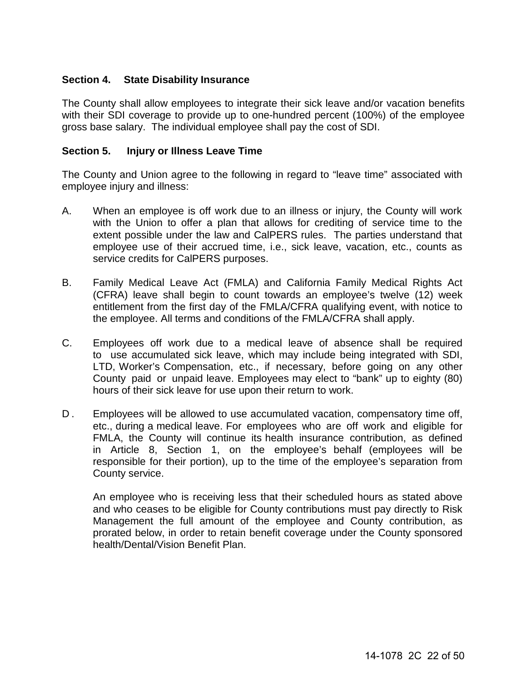## <span id="page-21-0"></span>**Section 4. State Disability Insurance**

The County shall allow employees to integrate their sick leave and/or vacation benefits with their SDI coverage to provide up to one-hundred percent (100%) of the employee gross base salary. The individual employee shall pay the cost of SDI.

## <span id="page-21-1"></span>**Section 5. Injury or Illness Leave Time**

The County and Union agree to the following in regard to "leave time" associated with employee injury and illness:

- A. When an employee is off work due to an illness or injury, the County will work with the Union to offer a plan that allows for crediting of service time to the extent possible under the law and CalPERS rules. The parties understand that employee use of their accrued time, i.e., sick leave, vacation, etc., counts as service credits for CalPERS purposes.
- B. Family Medical Leave Act (FMLA) and California Family Medical Rights Act (CFRA) leave shall begin to count towards an employee's twelve (12) week entitlement from the first day of the FMLA/CFRA qualifying event, with notice to the employee. All terms and conditions of the FMLA/CFRA shall apply.
- C. Employees off work due to a medical leave of absence shall be required to use accumulated sick leave, which may include being integrated with SDI, LTD, Worker's Compensation, etc., if necessary, before going on any other County paid or unpaid leave. Employees may elect to "bank" up to eighty (80) hours of their sick leave for use upon their return to work.
- D. Employees will be allowed to use accumulated vacation, compensatory time off, etc., during a medical leave. For employees who are off work and eligible for FMLA, the County will continue its health insurance contribution, as defined in Article 8, Section 1, on the employee's behalf (employees will be responsible for their portion), up to the time of the employee's separation from County service.

An employee who is receiving less that their scheduled hours as stated above and who ceases to be eligible for County contributions must pay directly to Risk Management the full amount of the employee and County contribution, as prorated below, in order to retain benefit coverage under the County sponsored health/Dental/Vision Benefit Plan.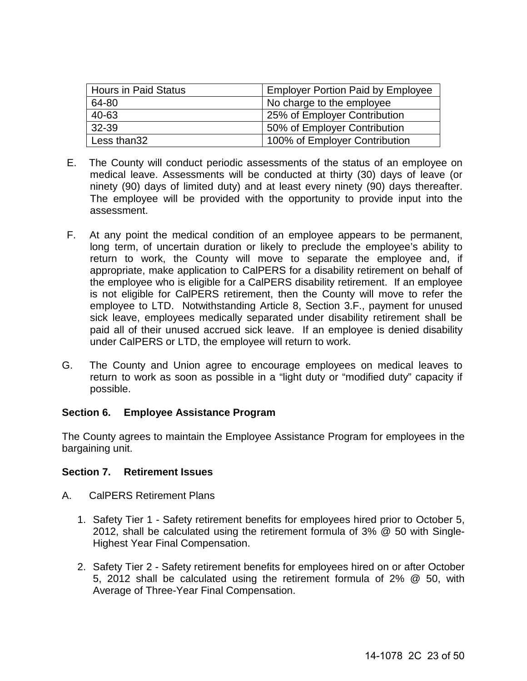| <b>Hours in Paid Status</b> | <b>Employer Portion Paid by Employee</b> |
|-----------------------------|------------------------------------------|
| 64-80                       | No charge to the employee                |
| 40-63                       | 25% of Employer Contribution             |
| 32-39                       | 50% of Employer Contribution             |
| Less than32                 | 100% of Employer Contribution            |

- E. The County will conduct periodic assessments of the status of an employee on medical leave. Assessments will be conducted at thirty (30) days of leave (or ninety (90) days of limited duty) and at least every ninety (90) days thereafter. The employee will be provided with the opportunity to provide input into the assessment.
- F. At any point the medical condition of an employee appears to be permanent, long term, of uncertain duration or likely to preclude the employee's ability to return to work, the County will move to separate the employee and, if appropriate, make application to CalPERS for a disability retirement on behalf of the employee who is eligible for a CalPERS disability retirement. If an employee is not eligible for CalPERS retirement, then the County will move to refer the employee to LTD. Notwithstanding Article 8, Section 3.F., payment for unused sick leave, employees medically separated under disability retirement shall be paid all of their unused accrued sick leave. If an employee is denied disability under CalPERS or LTD, the employee will return to work.
- G. The County and Union agree to encourage employees on medical leaves to return to work as soon as possible in a "light duty or "modified duty" capacity if possible.

## <span id="page-22-0"></span>**Section 6. Employee Assistance Program**

The County agrees to maintain the Employee Assistance Program for employees in the bargaining unit.

## <span id="page-22-1"></span>**Section 7. Retirement Issues**

- A. CalPERS Retirement Plans
	- 1. Safety Tier 1 Safety retirement benefits for employees hired prior to October 5, 2012, shall be calculated using the retirement formula of 3% @ 50 with Single-Highest Year Final Compensation.
	- 2. Safety Tier 2 Safety retirement benefits for employees hired on or after October 5, 2012 shall be calculated using the retirement formula of 2% @ 50, with Average of Three-Year Final Compensation.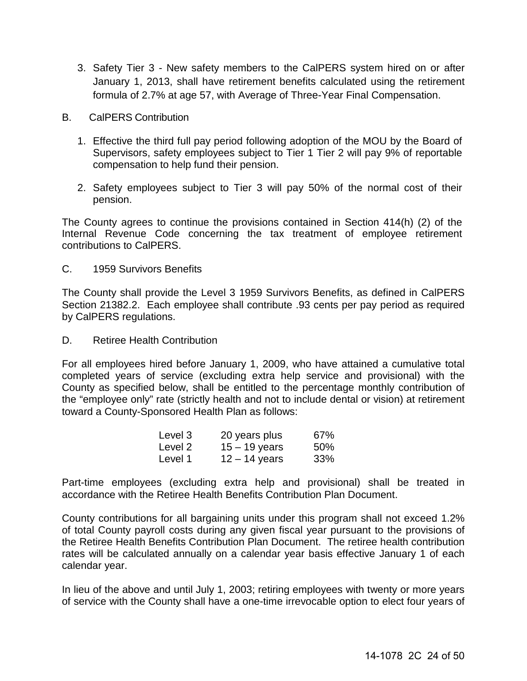- 3. Safety Tier 3 New safety members to the CalPERS system hired on or after January 1, 2013, shall have retirement benefits calculated using the retirement formula of 2.7% at age 57, with Average of Three-Year Final Compensation.
- B. CalPERS Contribution
	- 1. Effective the third full pay period following adoption of the MOU by the Board of Supervisors, safety employees subject to Tier 1 Tier 2 will pay 9% of reportable compensation to help fund their pension.
	- 2. Safety employees subject to Tier 3 will pay 50% of the normal cost of their pension.

The County agrees to continue the provisions contained in Section 414(h) (2) of the Internal Revenue Code concerning the tax treatment of employee retirement contributions to CalPERS.

C. 1959 Survivors Benefits

The County shall provide the Level 3 1959 Survivors Benefits, as defined in CalPERS Section 21382.2. Each employee shall contribute .93 cents per pay period as required by CalPERS regulations.

D. Retiree Health Contribution

For all employees hired before January 1, 2009, who have attained a cumulative total completed years of service (excluding extra help service and provisional) with the County as specified below, shall be entitled to the percentage monthly contribution of the "employee only" rate (strictly health and not to include dental or vision) at retirement toward a County-Sponsored Health Plan as follows:

| Level 3 | 20 years plus   | 67% |
|---------|-----------------|-----|
| Level 2 | $15 - 19$ years | 50% |
| Level 1 | $12 - 14$ years | 33% |

Part-time employees (excluding extra help and provisional) shall be treated in accordance with the Retiree Health Benefits Contribution Plan Document.

County contributions for all bargaining units under this program shall not exceed 1.2% of total County payroll costs during any given fiscal year pursuant to the provisions of the Retiree Health Benefits Contribution Plan Document. The retiree health contribution rates will be calculated annually on a calendar year basis effective January 1 of each calendar year.

In lieu of the above and until July 1, 2003; retiring employees with twenty or more years of service with the County shall have a one-time irrevocable option to elect four years of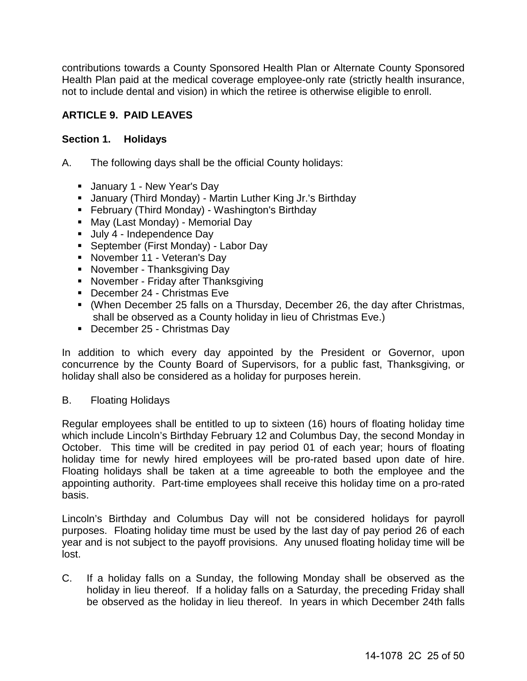contributions towards a County Sponsored Health Plan or Alternate County Sponsored Health Plan paid at the medical coverage employee-only rate (strictly health insurance, not to include dental and vision) in which the retiree is otherwise eligible to enroll.

## <span id="page-24-0"></span>**ARTICLE 9. PAID LEAVES**

## <span id="page-24-1"></span>**Section 1. Holidays**

A. The following days shall be the official County holidays:

- **January 1 New Year's Day**
- January (Third Monday) Martin Luther King Jr.'s Birthday
- **February (Third Monday) Washington's Birthday**
- May (Last Monday) Memorial Day
- Uuly 4 Independence Day
- September (First Monday) Labor Day
- **November 11 Veteran's Day**
- November Thanksgiving Day
- **November Friday after Thanksgiving**
- December 24 Christmas Fye
- (When December 25 falls on a Thursday, December 26, the day after Christmas, shall be observed as a County holiday in lieu of Christmas Eve.)
- December 25 Christmas Day

In addition to which every day appointed by the President or Governor, upon concurrence by the County Board of Supervisors, for a public fast, Thanksgiving, or holiday shall also be considered as a holiday for purposes herein.

## B. Floating Holidays

Regular employees shall be entitled to up to sixteen (16) hours of floating holiday time which include Lincoln's Birthday February 12 and Columbus Day, the second Monday in October. This time will be credited in pay period 01 of each year; hours of floating holiday time for newly hired employees will be pro-rated based upon date of hire. Floating holidays shall be taken at a time agreeable to both the employee and the appointing authority. Part-time employees shall receive this holiday time on a pro-rated basis.

Lincoln's Birthday and Columbus Day will not be considered holidays for payroll purposes. Floating holiday time must be used by the last day of pay period 26 of each year and is not subject to the payoff provisions. Any unused floating holiday time will be lost.

C. If a holiday falls on a Sunday, the following Monday shall be observed as the holiday in lieu thereof. If a holiday falls on a Saturday, the preceding Friday shall be observed as the holiday in lieu thereof. In years in which December 24th falls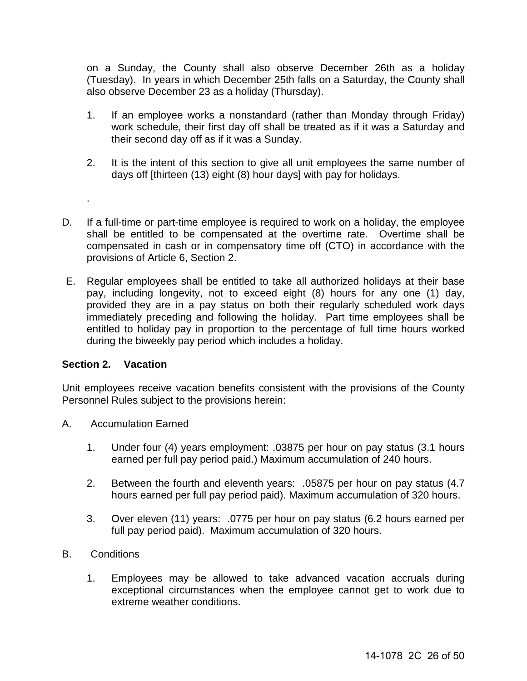on a Sunday, the County shall also observe December 26th as a holiday (Tuesday). In years in which December 25th falls on a Saturday, the County shall also observe December 23 as a holiday (Thursday).

- 1. If an employee works a nonstandard (rather than Monday through Friday) work schedule, their first day off shall be treated as if it was a Saturday and their second day off as if it was a Sunday.
- 2. It is the intent of this section to give all unit employees the same number of days off [thirteen (13) eight (8) hour days] with pay for holidays.
- D. If a full-time or part-time employee is required to work on a holiday, the employee shall be entitled to be compensated at the overtime rate. Overtime shall be compensated in cash or in compensatory time off (CTO) in accordance with the provisions of Article 6, Section 2.
- E. Regular employees shall be entitled to take all authorized holidays at their base pay, including longevity, not to exceed eight (8) hours for any one (1) day, provided they are in a pay status on both their regularly scheduled work days immediately preceding and following the holiday. Part time employees shall be entitled to holiday pay in proportion to the percentage of full time hours worked during the biweekly pay period which includes a holiday.

#### <span id="page-25-0"></span>**Section 2. Vacation**

.

Unit employees receive vacation benefits consistent with the provisions of the County Personnel Rules subject to the provisions herein:

- A. Accumulation Earned
	- 1. Under four (4) years employment: .03875 per hour on pay status (3.1 hours earned per full pay period paid.) Maximum accumulation of 240 hours.
	- 2. Between the fourth and eleventh years: .05875 per hour on pay status (4.7 hours earned per full pay period paid). Maximum accumulation of 320 hours.
	- 3. Over eleven (11) years: .0775 per hour on pay status (6.2 hours earned per full pay period paid). Maximum accumulation of 320 hours.
- B. Conditions
	- 1. Employees may be allowed to take advanced vacation accruals during exceptional circumstances when the employee cannot get to work due to extreme weather conditions.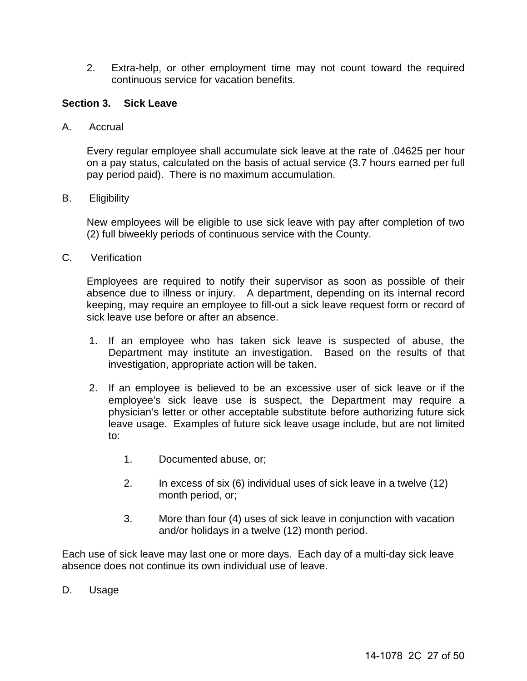2. Extra-help, or other employment time may not count toward the required continuous service for vacation benefits.

#### <span id="page-26-0"></span>**Section 3. Sick Leave**

A. Accrual

Every regular employee shall accumulate sick leave at the rate of .04625 per hour on a pay status, calculated on the basis of actual service (3.7 hours earned per full pay period paid). There is no maximum accumulation.

B. Eligibility

New employees will be eligible to use sick leave with pay after completion of two (2) full biweekly periods of continuous service with the County.

C. Verification

Employees are required to notify their supervisor as soon as possible of their absence due to illness or injury. A department, depending on its internal record keeping, may require an employee to fill-out a sick leave request form or record of sick leave use before or after an absence.

- 1. If an employee who has taken sick leave is suspected of abuse, the Department may institute an investigation. Based on the results of that investigation, appropriate action will be taken.
- 2. If an employee is believed to be an excessive user of sick leave or if the employee's sick leave use is suspect, the Department may require a physician's letter or other acceptable substitute before authorizing future sick leave usage. Examples of future sick leave usage include, but are not limited to:
	- 1. Documented abuse, or;
	- 2. In excess of six (6) individual uses of sick leave in a twelve (12) month period, or;
	- 3. More than four (4) uses of sick leave in conjunction with vacation and/or holidays in a twelve (12) month period.

Each use of sick leave may last one or more days. Each day of a multi-day sick leave absence does not continue its own individual use of leave.

D. Usage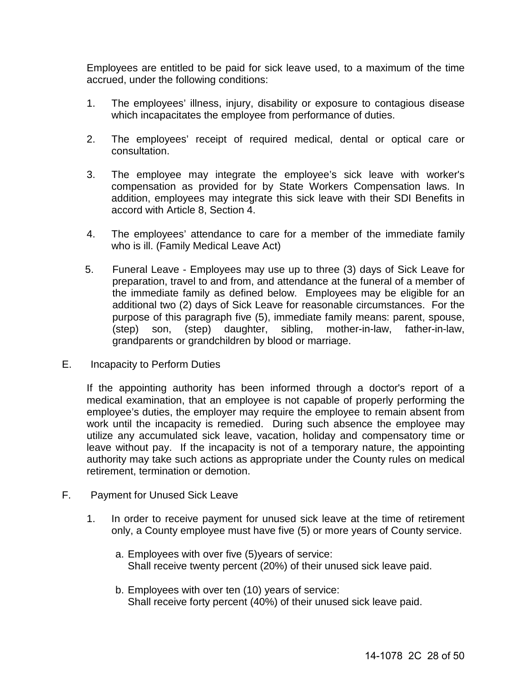Employees are entitled to be paid for sick leave used, to a maximum of the time accrued, under the following conditions:

- 1. The employees' illness, injury, disability or exposure to contagious disease which incapacitates the employee from performance of duties.
- 2. The employees' receipt of required medical, dental or optical care or consultation.
- 3. The employee may integrate the employee's sick leave with worker's compensation as provided for by State Workers Compensation laws. In addition, employees may integrate this sick leave with their SDI Benefits in accord with Article 8, Section 4.
- 4. The employees' attendance to care for a member of the immediate family who is ill. (Family Medical Leave Act)
- 5. Funeral Leave Employees may use up to three (3) days of Sick Leave for preparation, travel to and from, and attendance at the funeral of a member of the immediate family as defined below. Employees may be eligible for an additional two (2) days of Sick Leave for reasonable circumstances. For the purpose of this paragraph five (5), immediate family means: parent, spouse, (step) son, (step) daughter, sibling, mother-in-law, father-in-law, grandparents or grandchildren by blood or marriage.
- E. Incapacity to Perform Duties

If the appointing authority has been informed through a doctor's report of a medical examination, that an employee is not capable of properly performing the employee's duties, the employer may require the employee to remain absent from work until the incapacity is remedied. During such absence the employee may utilize any accumulated sick leave, vacation, holiday and compensatory time or leave without pay. If the incapacity is not of a temporary nature, the appointing authority may take such actions as appropriate under the County rules on medical retirement, termination or demotion.

- F. Payment for Unused Sick Leave
	- 1. In order to receive payment for unused sick leave at the time of retirement only, a County employee must have five (5) or more years of County service.
		- a. Employees with over five (5)years of service: Shall receive twenty percent (20%) of their unused sick leave paid.
		- b. Employees with over ten (10) years of service: Shall receive forty percent (40%) of their unused sick leave paid.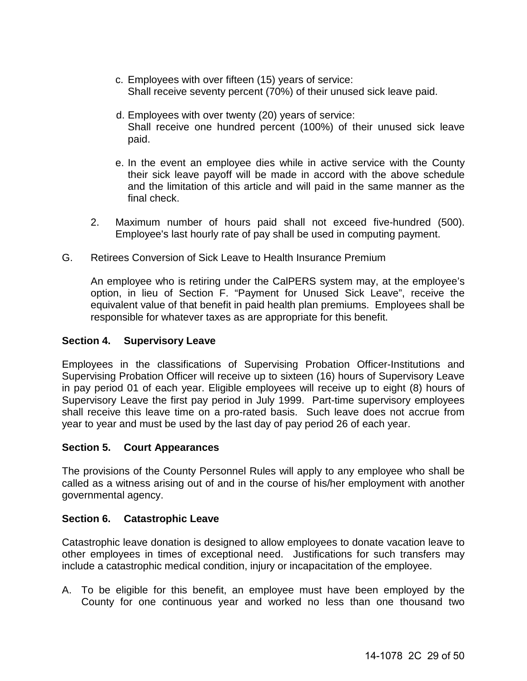- c. Employees with over fifteen (15) years of service: Shall receive seventy percent (70%) of their unused sick leave paid.
- d. Employees with over twenty (20) years of service: Shall receive one hundred percent (100%) of their unused sick leave paid.
- e. In the event an employee dies while in active service with the County their sick leave payoff will be made in accord with the above schedule and the limitation of this article and will paid in the same manner as the final check.
- 2. Maximum number of hours paid shall not exceed five-hundred (500). Employee's last hourly rate of pay shall be used in computing payment.
- G. Retirees Conversion of Sick Leave to Health Insurance Premium

An employee who is retiring under the CalPERS system may, at the employee's option, in lieu of Section F. "Payment for Unused Sick Leave", receive the equivalent value of that benefit in paid health plan premiums. Employees shall be responsible for whatever taxes as are appropriate for this benefit.

## <span id="page-28-0"></span>**Section 4. Supervisory Leave**

Employees in the classifications of Supervising Probation Officer-Institutions and Supervising Probation Officer will receive up to sixteen (16) hours of Supervisory Leave in pay period 01 of each year. Eligible employees will receive up to eight (8) hours of Supervisory Leave the first pay period in July 1999. Part-time supervisory employees shall receive this leave time on a pro-rated basis. Such leave does not accrue from year to year and must be used by the last day of pay period 26 of each year.

## <span id="page-28-1"></span>**Section 5. Court Appearances**

The provisions of the County Personnel Rules will apply to any employee who shall be called as a witness arising out of and in the course of his/her employment with another governmental agency.

## <span id="page-28-2"></span>**Section 6. Catastrophic Leave**

Catastrophic leave donation is designed to allow employees to donate vacation leave to other employees in times of exceptional need. Justifications for such transfers may include a catastrophic medical condition, injury or incapacitation of the employee.

A. To be eligible for this benefit, an employee must have been employed by the County for one continuous year and worked no less than one thousand two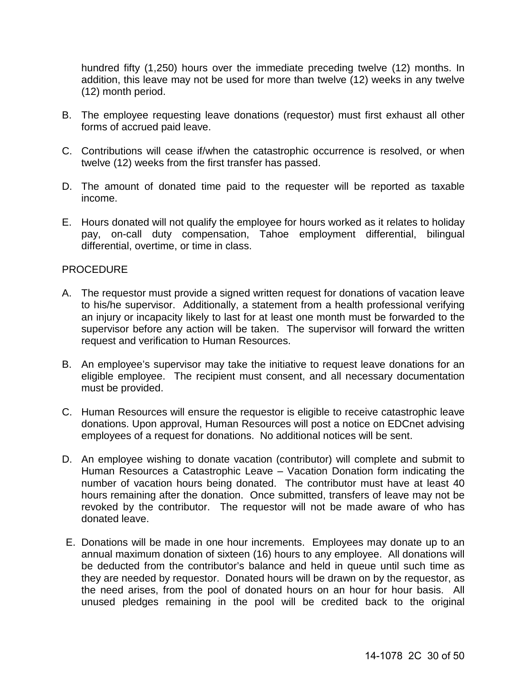hundred fifty (1,250) hours over the immediate preceding twelve (12) months. In addition, this leave may not be used for more than twelve (12) weeks in any twelve (12) month period.

- B. The employee requesting leave donations (requestor) must first exhaust all other forms of accrued paid leave.
- C. Contributions will cease if/when the catastrophic occurrence is resolved, or when twelve (12) weeks from the first transfer has passed.
- D. The amount of donated time paid to the requester will be reported as taxable income.
- E. Hours donated will not qualify the employee for hours worked as it relates to holiday pay, on-call duty compensation, Tahoe employment differential, bilingual differential, overtime, or time in class.

## PROCEDURE

- A. The requestor must provide a signed written request for donations of vacation leave to his/he supervisor. Additionally, a statement from a health professional verifying an injury or incapacity likely to last for at least one month must be forwarded to the supervisor before any action will be taken. The supervisor will forward the written request and verification to Human Resources.
- B. An employee's supervisor may take the initiative to request leave donations for an eligible employee. The recipient must consent, and all necessary documentation must be provided.
- C. Human Resources will ensure the requestor is eligible to receive catastrophic leave donations. Upon approval, Human Resources will post a notice on EDCnet advising employees of a request for donations. No additional notices will be sent.
- D. An employee wishing to donate vacation (contributor) will complete and submit to Human Resources a Catastrophic Leave – Vacation Donation form indicating the number of vacation hours being donated. The contributor must have at least 40 hours remaining after the donation. Once submitted, transfers of leave may not be revoked by the contributor. The requestor will not be made aware of who has donated leave.
- E. Donations will be made in one hour increments. Employees may donate up to an annual maximum donation of sixteen (16) hours to any employee. All donations will be deducted from the contributor's balance and held in queue until such time as they are needed by requestor. Donated hours will be drawn on by the requestor, as the need arises, from the pool of donated hours on an hour for hour basis. All unused pledges remaining in the pool will be credited back to the original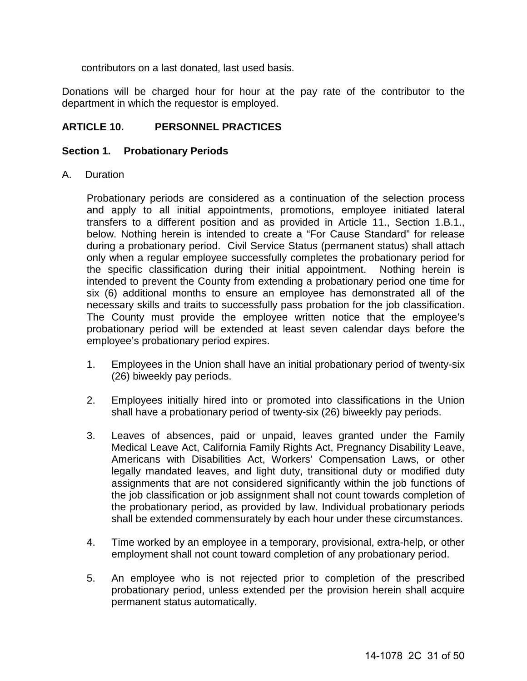contributors on a last donated, last used basis.

Donations will be charged hour for hour at the pay rate of the contributor to the department in which the requestor is employed.

## <span id="page-30-0"></span>**ARTICLE 10. PERSONNEL PRACTICES**

#### <span id="page-30-1"></span>**Section 1. Probationary Periods**

A. Duration

Probationary periods are considered as a continuation of the selection process and apply to all initial appointments, promotions, employee initiated lateral transfers to a different position and as provided in Article 11., Section 1.B.1., below. Nothing herein is intended to create a "For Cause Standard" for release during a probationary period. Civil Service Status (permanent status) shall attach only when a regular employee successfully completes the probationary period for the specific classification during their initial appointment. Nothing herein is intended to prevent the County from extending a probationary period one time for six (6) additional months to ensure an employee has demonstrated all of the necessary skills and traits to successfully pass probation for the job classification. The County must provide the employee written notice that the employee's probationary period will be extended at least seven calendar days before the employee's probationary period expires.

- 1. Employees in the Union shall have an initial probationary period of twenty-six (26) biweekly pay periods.
- 2. Employees initially hired into or promoted into classifications in the Union shall have a probationary period of twenty-six (26) biweekly pay periods.
- 3. Leaves of absences, paid or unpaid, leaves granted under the Family Medical Leave Act, California Family Rights Act, Pregnancy Disability Leave, Americans with Disabilities Act, Workers' Compensation Laws, or other legally mandated leaves, and light duty, transitional duty or modified duty assignments that are not considered significantly within the job functions of the job classification or job assignment shall not count towards completion of the probationary period, as provided by law. Individual probationary periods shall be extended commensurately by each hour under these circumstances.
- 4. Time worked by an employee in a temporary, provisional, extra-help, or other employment shall not count toward completion of any probationary period.
- 5. An employee who is not rejected prior to completion of the prescribed probationary period, unless extended per the provision herein shall acquire permanent status automatically.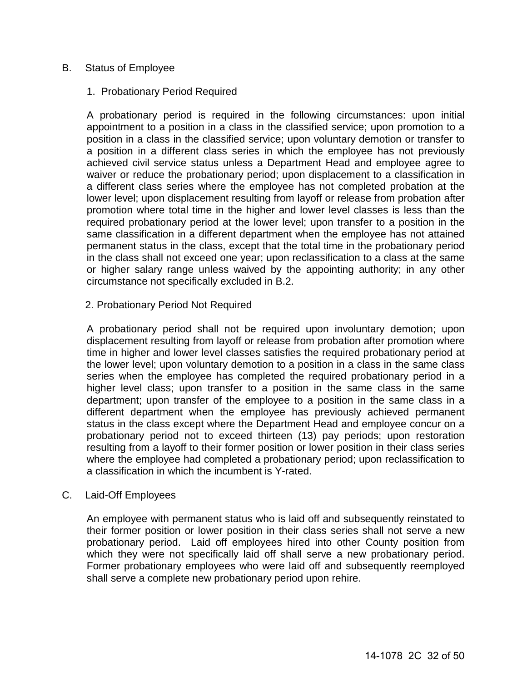#### B. Status of Employee

#### 1. Probationary Period Required

 A probationary period is required in the following circumstances: upon initial appointment to a position in a class in the classified service; upon promotion to a position in a class in the classified service; upon voluntary demotion or transfer to a position in a different class series in which the employee has not previously achieved civil service status unless a Department Head and employee agree to waiver or reduce the probationary period; upon displacement to a classification in a different class series where the employee has not completed probation at the lower level; upon displacement resulting from layoff or release from probation after promotion where total time in the higher and lower level classes is less than the required probationary period at the lower level; upon transfer to a position in the same classification in a different department when the employee has not attained permanent status in the class, except that the total time in the probationary period in the class shall not exceed one year; upon reclassification to a class at the same or higher salary range unless waived by the appointing authority; in any other circumstance not specifically excluded in B.2.

#### 2. Probationary Period Not Required

 A probationary period shall not be required upon involuntary demotion; upon displacement resulting from layoff or release from probation after promotion where time in higher and lower level classes satisfies the required probationary period at the lower level; upon voluntary demotion to a position in a class in the same class series when the employee has completed the required probationary period in a higher level class; upon transfer to a position in the same class in the same department; upon transfer of the employee to a position in the same class in a different department when the employee has previously achieved permanent status in the class except where the Department Head and employee concur on a probationary period not to exceed thirteen (13) pay periods; upon restoration resulting from a layoff to their former position or lower position in their class series where the employee had completed a probationary period; upon reclassification to a classification in which the incumbent is Y-rated.

#### C. Laid-Off Employees

An employee with permanent status who is laid off and subsequently reinstated to their former position or lower position in their class series shall not serve a new probationary period. Laid off employees hired into other County position from which they were not specifically laid off shall serve a new probationary period. Former probationary employees who were laid off and subsequently reemployed shall serve a complete new probationary period upon rehire.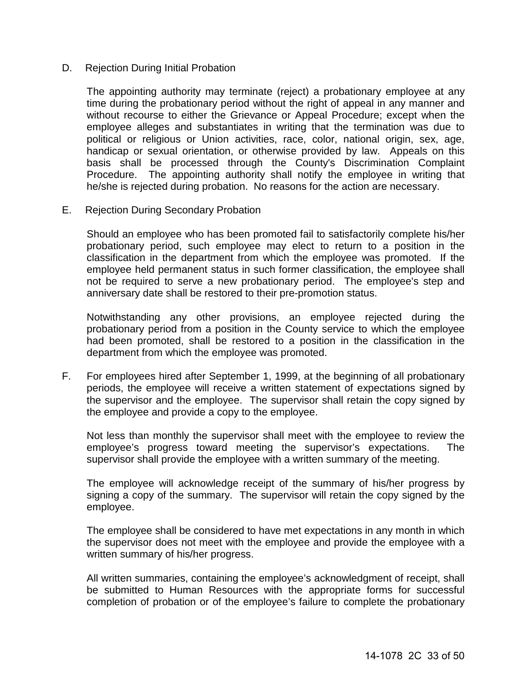#### D. Rejection During Initial Probation

The appointing authority may terminate (reject) a probationary employee at any time during the probationary period without the right of appeal in any manner and without recourse to either the Grievance or Appeal Procedure; except when the employee alleges and substantiates in writing that the termination was due to political or religious or Union activities, race, color, national origin, sex, age, handicap or sexual orientation, or otherwise provided by law. Appeals on this basis shall be processed through the County's Discrimination Complaint Procedure. The appointing authority shall notify the employee in writing that he/she is rejected during probation. No reasons for the action are necessary.

E. Rejection During Secondary Probation

Should an employee who has been promoted fail to satisfactorily complete his/her probationary period, such employee may elect to return to a position in the classification in the department from which the employee was promoted. If the employee held permanent status in such former classification, the employee shall not be required to serve a new probationary period. The employee's step and anniversary date shall be restored to their pre-promotion status.

Notwithstanding any other provisions, an employee rejected during the probationary period from a position in the County service to which the employee had been promoted, shall be restored to a position in the classification in the department from which the employee was promoted.

F. For employees hired after September 1, 1999, at the beginning of all probationary periods, the employee will receive a written statement of expectations signed by the supervisor and the employee. The supervisor shall retain the copy signed by the employee and provide a copy to the employee.

Not less than monthly the supervisor shall meet with the employee to review the employee's progress toward meeting the supervisor's expectations. The supervisor shall provide the employee with a written summary of the meeting.

The employee will acknowledge receipt of the summary of his/her progress by signing a copy of the summary. The supervisor will retain the copy signed by the employee.

The employee shall be considered to have met expectations in any month in which the supervisor does not meet with the employee and provide the employee with a written summary of his/her progress.

All written summaries, containing the employee's acknowledgment of receipt, shall be submitted to Human Resources with the appropriate forms for successful completion of probation or of the employee's failure to complete the probationary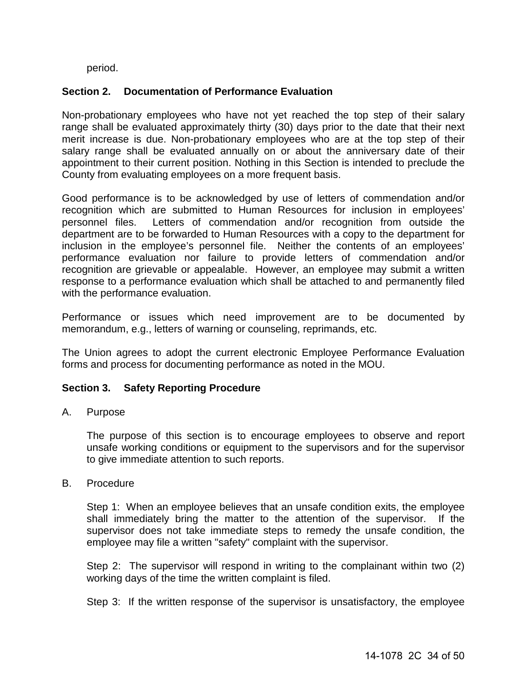period.

## <span id="page-33-0"></span>**Section 2. Documentation of Performance Evaluation**

Non-probationary employees who have not yet reached the top step of their salary range shall be evaluated approximately thirty (30) days prior to the date that their next merit increase is due. Non-probationary employees who are at the top step of their salary range shall be evaluated annually on or about the anniversary date of their appointment to their current position. Nothing in this Section is intended to preclude the County from evaluating employees on a more frequent basis.

Good performance is to be acknowledged by use of letters of commendation and/or recognition which are submitted to Human Resources for inclusion in employees' personnel files. Letters of commendation and/or recognition from outside the department are to be forwarded to Human Resources with a copy to the department for inclusion in the employee's personnel file. Neither the contents of an employees' performance evaluation nor failure to provide letters of commendation and/or recognition are grievable or appealable. However, an employee may submit a written response to a performance evaluation which shall be attached to and permanently filed with the performance evaluation.

Performance or issues which need improvement are to be documented by memorandum, e.g., letters of warning or counseling, reprimands, etc.

The Union agrees to adopt the current electronic Employee Performance Evaluation forms and process for documenting performance as noted in the MOU.

## <span id="page-33-1"></span>**Section 3. Safety Reporting Procedure**

A. Purpose

The purpose of this section is to encourage employees to observe and report unsafe working conditions or equipment to the supervisors and for the supervisor to give immediate attention to such reports.

B. Procedure

Step 1: When an employee believes that an unsafe condition exits, the employee shall immediately bring the matter to the attention of the supervisor. If the supervisor does not take immediate steps to remedy the unsafe condition, the employee may file a written "safety" complaint with the supervisor.

Step 2: The supervisor will respond in writing to the complainant within two (2) working days of the time the written complaint is filed.

Step 3: If the written response of the supervisor is unsatisfactory, the employee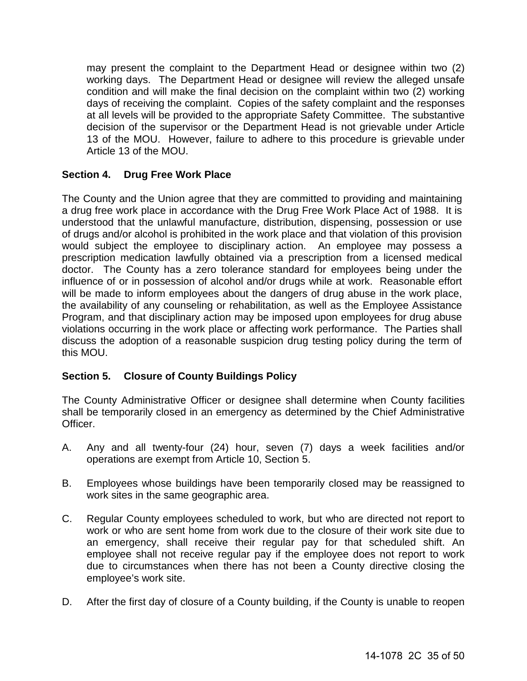may present the complaint to the Department Head or designee within two (2) working days. The Department Head or designee will review the alleged unsafe condition and will make the final decision on the complaint within two (2) working days of receiving the complaint. Copies of the safety complaint and the responses at all levels will be provided to the appropriate Safety Committee. The substantive decision of the supervisor or the Department Head is not grievable under Article 13 of the MOU. However, failure to adhere to this procedure is grievable under Article 13 of the MOU.

## <span id="page-34-0"></span>**Section 4. Drug Free Work Place**

The County and the Union agree that they are committed to providing and maintaining a drug free work place in accordance with the Drug Free Work Place Act of 1988. It is understood that the unlawful manufacture, distribution, dispensing, possession or use of drugs and/or alcohol is prohibited in the work place and that violation of this provision would subject the employee to disciplinary action. An employee may possess a prescription medication lawfully obtained via a prescription from a licensed medical doctor. The County has a zero tolerance standard for employees being under the influence of or in possession of alcohol and/or drugs while at work. Reasonable effort will be made to inform employees about the dangers of drug abuse in the work place, the availability of any counseling or rehabilitation, as well as the Employee Assistance Program, and that disciplinary action may be imposed upon employees for drug abuse violations occurring in the work place or affecting work performance. The Parties shall discuss the adoption of a reasonable suspicion drug testing policy during the term of this MOU.

## <span id="page-34-1"></span>**Section 5. Closure of County Buildings Policy**

The County Administrative Officer or designee shall determine when County facilities shall be temporarily closed in an emergency as determined by the Chief Administrative Officer.

- A. Any and all twenty-four (24) hour, seven (7) days a week facilities and/or operations are exempt from Article 10, Section 5.
- B. Employees whose buildings have been temporarily closed may be reassigned to work sites in the same geographic area.
- C. Regular County employees scheduled to work, but who are directed not report to work or who are sent home from work due to the closure of their work site due to an emergency, shall receive their regular pay for that scheduled shift. An employee shall not receive regular pay if the employee does not report to work due to circumstances when there has not been a County directive closing the employee's work site.
- D. After the first day of closure of a County building, if the County is unable to reopen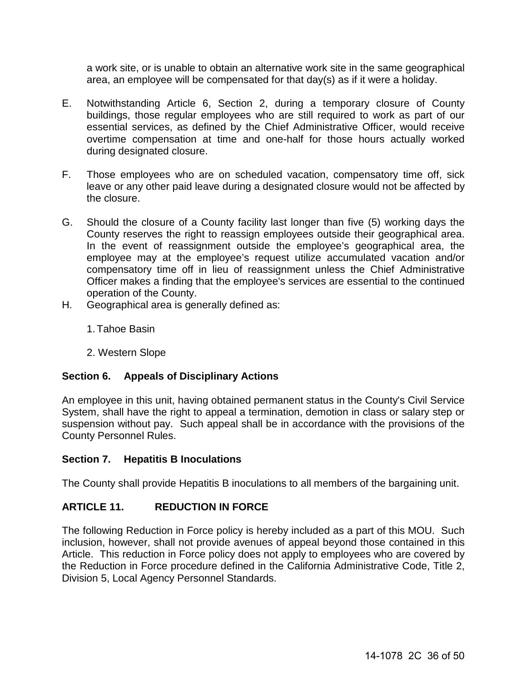a work site, or is unable to obtain an alternative work site in the same geographical area, an employee will be compensated for that day(s) as if it were a holiday.

- E. Notwithstanding Article 6, Section 2, during a temporary closure of County buildings, those regular employees who are still required to work as part of our essential services, as defined by the Chief Administrative Officer, would receive overtime compensation at time and one-half for those hours actually worked during designated closure.
- F. Those employees who are on scheduled vacation, compensatory time off, sick leave or any other paid leave during a designated closure would not be affected by the closure.
- G. Should the closure of a County facility last longer than five (5) working days the County reserves the right to reassign employees outside their geographical area. In the event of reassignment outside the employee's geographical area, the employee may at the employee's request utilize accumulated vacation and/or compensatory time off in lieu of reassignment unless the Chief Administrative Officer makes a finding that the employee's services are essential to the continued operation of the County.
- H. Geographical area is generally defined as:
	- 1.Tahoe Basin
	- 2. Western Slope

## <span id="page-35-0"></span>**Section 6. Appeals of Disciplinary Actions**

An employee in this unit, having obtained permanent status in the County's Civil Service System, shall have the right to appeal a termination, demotion in class or salary step or suspension without pay. Such appeal shall be in accordance with the provisions of the County Personnel Rules.

## <span id="page-35-1"></span>**Section 7. Hepatitis B Inoculations**

The County shall provide Hepatitis B inoculations to all members of the bargaining unit.

## <span id="page-35-2"></span>**ARTICLE 11. REDUCTION IN FORCE**

The following Reduction in Force policy is hereby included as a part of this MOU. Such inclusion, however, shall not provide avenues of appeal beyond those contained in this Article. This reduction in Force policy does not apply to employees who are covered by the Reduction in Force procedure defined in the California Administrative Code, Title 2, Division 5, Local Agency Personnel Standards.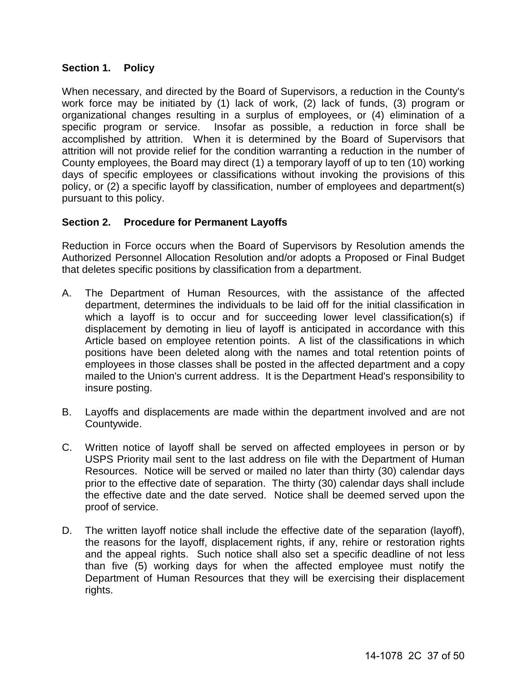## <span id="page-36-0"></span>**Section 1. Policy**

When necessary, and directed by the Board of Supervisors, a reduction in the County's work force may be initiated by (1) lack of work, (2) lack of funds, (3) program or organizational changes resulting in a surplus of employees, or (4) elimination of a specific program or service. Insofar as possible, a reduction in force shall be accomplished by attrition. When it is determined by the Board of Supervisors that attrition will not provide relief for the condition warranting a reduction in the number of County employees, the Board may direct (1) a temporary layoff of up to ten (10) working days of specific employees or classifications without invoking the provisions of this policy, or (2) a specific layoff by classification, number of employees and department(s) pursuant to this policy.

## <span id="page-36-1"></span>**Section 2. Procedure for Permanent Layoffs**

Reduction in Force occurs when the Board of Supervisors by Resolution amends the Authorized Personnel Allocation Resolution and/or adopts a Proposed or Final Budget that deletes specific positions by classification from a department.

- A. The Department of Human Resources, with the assistance of the affected department, determines the individuals to be laid off for the initial classification in which a layoff is to occur and for succeeding lower level classification(s) if displacement by demoting in lieu of layoff is anticipated in accordance with this Article based on employee retention points. A list of the classifications in which positions have been deleted along with the names and total retention points of employees in those classes shall be posted in the affected department and a copy mailed to the Union's current address. It is the Department Head's responsibility to insure posting.
- B. Layoffs and displacements are made within the department involved and are not Countywide.
- C. Written notice of layoff shall be served on affected employees in person or by USPS Priority mail sent to the last address on file with the Department of Human Resources. Notice will be served or mailed no later than thirty (30) calendar days prior to the effective date of separation. The thirty (30) calendar days shall include the effective date and the date served. Notice shall be deemed served upon the proof of service.
- D. The written layoff notice shall include the effective date of the separation (layoff), the reasons for the layoff, displacement rights, if any, rehire or restoration rights and the appeal rights. Such notice shall also set a specific deadline of not less than five (5) working days for when the affected employee must notify the Department of Human Resources that they will be exercising their displacement rights.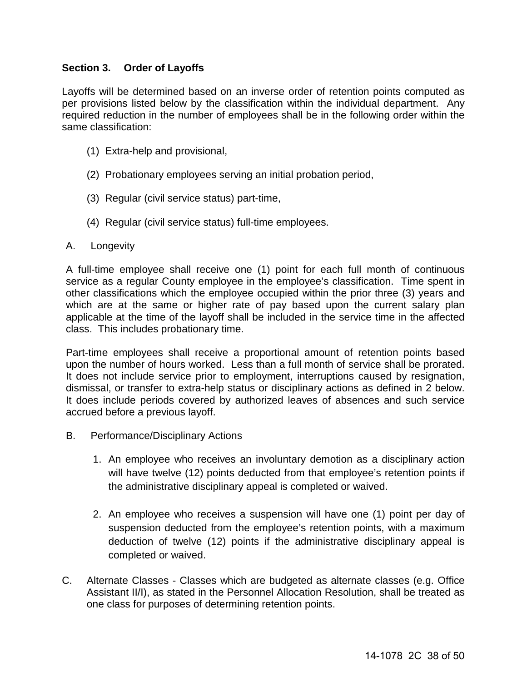## <span id="page-37-0"></span>**Section 3. Order of Layoffs**

Layoffs will be determined based on an inverse order of retention points computed as per provisions listed below by the classification within the individual department. Any required reduction in the number of employees shall be in the following order within the same classification:

- (1) Extra-help and provisional,
- (2) Probationary employees serving an initial probation period,
- (3) Regular (civil service status) part-time,
- (4) Regular (civil service status) full-time employees.

## A. Longevity

A full-time employee shall receive one (1) point for each full month of continuous service as a regular County employee in the employee's classification. Time spent in other classifications which the employee occupied within the prior three (3) years and which are at the same or higher rate of pay based upon the current salary plan applicable at the time of the layoff shall be included in the service time in the affected class. This includes probationary time.

Part-time employees shall receive a proportional amount of retention points based upon the number of hours worked. Less than a full month of service shall be prorated. It does not include service prior to employment, interruptions caused by resignation, dismissal, or transfer to extra-help status or disciplinary actions as defined in 2 below. It does include periods covered by authorized leaves of absences and such service accrued before a previous layoff.

- B. Performance/Disciplinary Actions
	- 1. An employee who receives an involuntary demotion as a disciplinary action will have twelve (12) points deducted from that employee's retention points if the administrative disciplinary appeal is completed or waived.
	- 2. An employee who receives a suspension will have one (1) point per day of suspension deducted from the employee's retention points, with a maximum deduction of twelve (12) points if the administrative disciplinary appeal is completed or waived.
- C. Alternate Classes Classes which are budgeted as alternate classes (e.g. Office Assistant II/I), as stated in the Personnel Allocation Resolution, shall be treated as one class for purposes of determining retention points.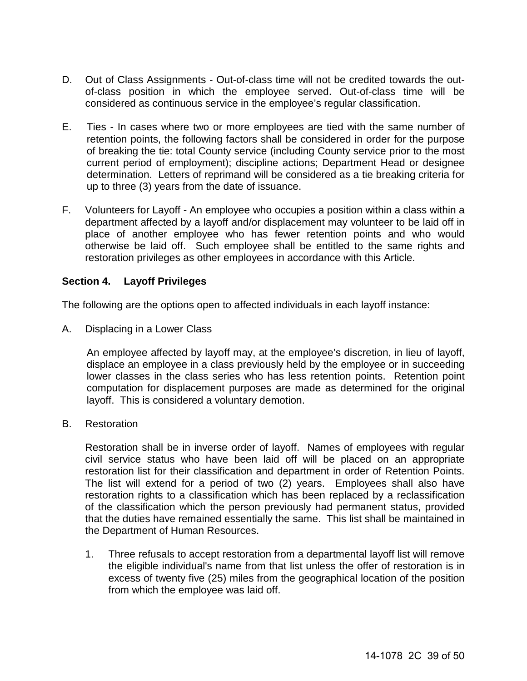- D. Out of Class Assignments Out-of-class time will not be credited towards the outof-class position in which the employee served. Out-of-class time will be considered as continuous service in the employee's regular classification.
- E. Ties In cases where two or more employees are tied with the same number of retention points, the following factors shall be considered in order for the purpose of breaking the tie: total County service (including County service prior to the most current period of employment); discipline actions; Department Head or designee determination. Letters of reprimand will be considered as a tie breaking criteria for up to three (3) years from the date of issuance.
- F. Volunteers for Layoff An employee who occupies a position within a class within a department affected by a layoff and/or displacement may volunteer to be laid off in place of another employee who has fewer retention points and who would otherwise be laid off. Such employee shall be entitled to the same rights and restoration privileges as other employees in accordance with this Article.

## <span id="page-38-0"></span>**Section 4. Layoff Privileges**

The following are the options open to affected individuals in each layoff instance:

A. Displacing in a Lower Class

An employee affected by layoff may, at the employee's discretion, in lieu of layoff, displace an employee in a class previously held by the employee or in succeeding lower classes in the class series who has less retention points. Retention point computation for displacement purposes are made as determined for the original layoff. This is considered a voluntary demotion.

B. Restoration

 Restoration shall be in inverse order of layoff. Names of employees with regular civil service status who have been laid off will be placed on an appropriate restoration list for their classification and department in order of Retention Points. The list will extend for a period of two (2) years. Employees shall also have restoration rights to a classification which has been replaced by a reclassification of the classification which the person previously had permanent status, provided that the duties have remained essentially the same. This list shall be maintained in the Department of Human Resources.

1. Three refusals to accept restoration from a departmental layoff list will remove the eligible individual's name from that list unless the offer of restoration is in excess of twenty five (25) miles from the geographical location of the position from which the employee was laid off.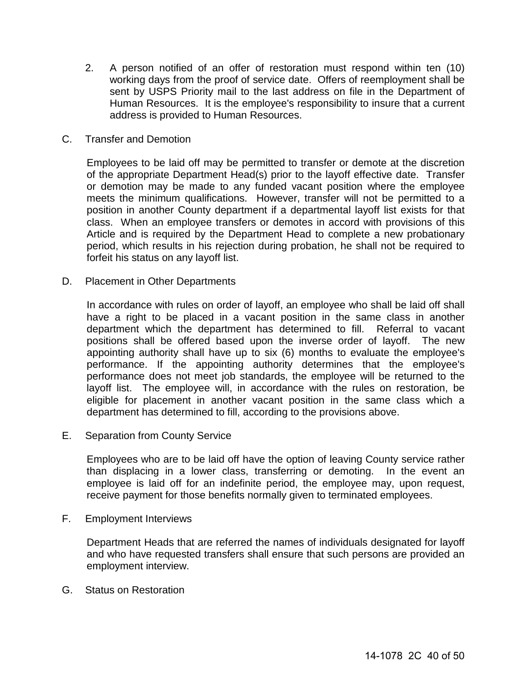- 2. A person notified of an offer of restoration must respond within ten (10) working days from the proof of service date. Offers of reemployment shall be sent by USPS Priority mail to the last address on file in the Department of Human Resources. It is the employee's responsibility to insure that a current address is provided to Human Resources.
- C. Transfer and Demotion

Employees to be laid off may be permitted to transfer or demote at the discretion of the appropriate Department Head(s) prior to the layoff effective date. Transfer or demotion may be made to any funded vacant position where the employee meets the minimum qualifications. However, transfer will not be permitted to a position in another County department if a departmental layoff list exists for that class. When an employee transfers or demotes in accord with provisions of this Article and is required by the Department Head to complete a new probationary period, which results in his rejection during probation, he shall not be required to forfeit his status on any layoff list.

D. Placement in Other Departments

In accordance with rules on order of layoff, an employee who shall be laid off shall have a right to be placed in a vacant position in the same class in another department which the department has determined to fill. Referral to vacant positions shall be offered based upon the inverse order of layoff. The new appointing authority shall have up to six (6) months to evaluate the employee's performance. If the appointing authority determines that the employee's performance does not meet job standards, the employee will be returned to the layoff list. The employee will, in accordance with the rules on restoration, be eligible for placement in another vacant position in the same class which a department has determined to fill, according to the provisions above.

E. Separation from County Service

Employees who are to be laid off have the option of leaving County service rather than displacing in a lower class, transferring or demoting. In the event an employee is laid off for an indefinite period, the employee may, upon request, receive payment for those benefits normally given to terminated employees.

F. Employment Interviews

Department Heads that are referred the names of individuals designated for layoff and who have requested transfers shall ensure that such persons are provided an employment interview.

G. Status on Restoration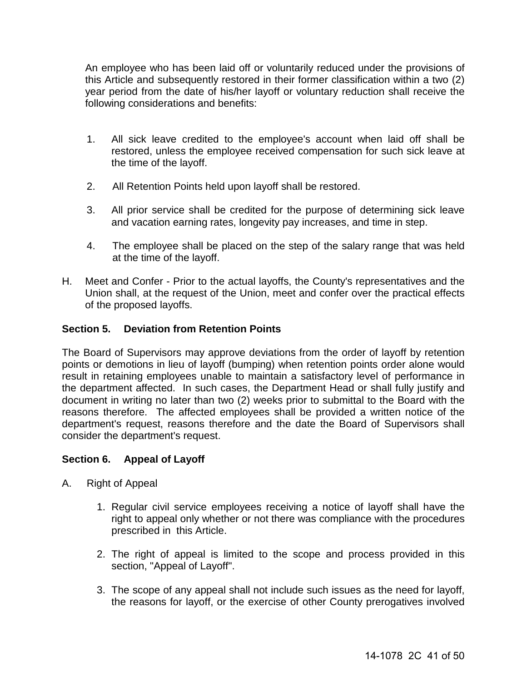An employee who has been laid off or voluntarily reduced under the provisions of this Article and subsequently restored in their former classification within a two (2) year period from the date of his/her layoff or voluntary reduction shall receive the following considerations and benefits:

- 1. All sick leave credited to the employee's account when laid off shall be restored, unless the employee received compensation for such sick leave at the time of the layoff.
- 2. All Retention Points held upon layoff shall be restored.
- 3. All prior service shall be credited for the purpose of determining sick leave and vacation earning rates, longevity pay increases, and time in step.
- 4. The employee shall be placed on the step of the salary range that was held at the time of the layoff.
- H. Meet and Confer Prior to the actual layoffs, the County's representatives and the Union shall, at the request of the Union, meet and confer over the practical effects of the proposed layoffs.

## <span id="page-40-0"></span>**Section 5. Deviation from Retention Points**

The Board of Supervisors may approve deviations from the order of layoff by retention points or demotions in lieu of layoff (bumping) when retention points order alone would result in retaining employees unable to maintain a satisfactory level of performance in the department affected. In such cases, the Department Head or shall fully justify and document in writing no later than two (2) weeks prior to submittal to the Board with the reasons therefore. The affected employees shall be provided a written notice of the department's request, reasons therefore and the date the Board of Supervisors shall consider the department's request.

## <span id="page-40-1"></span>**Section 6. Appeal of Layoff**

- A. Right of Appeal
	- 1. Regular civil service employees receiving a notice of layoff shall have the right to appeal only whether or not there was compliance with the procedures prescribed in this Article.
	- 2. The right of appeal is limited to the scope and process provided in this section, "Appeal of Layoff".
	- 3. The scope of any appeal shall not include such issues as the need for layoff, the reasons for layoff, or the exercise of other County prerogatives involved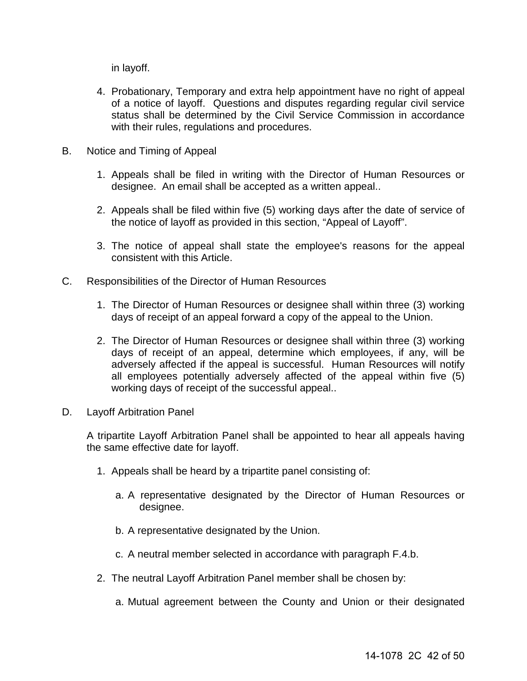in layoff.

- 4. Probationary, Temporary and extra help appointment have no right of appeal of a notice of layoff. Questions and disputes regarding regular civil service status shall be determined by the Civil Service Commission in accordance with their rules, regulations and procedures.
- B. Notice and Timing of Appeal
	- 1. Appeals shall be filed in writing with the Director of Human Resources or designee. An email shall be accepted as a written appeal..
	- 2. Appeals shall be filed within five (5) working days after the date of service of the notice of layoff as provided in this section, "Appeal of Layoff".
	- 3. The notice of appeal shall state the employee's reasons for the appeal consistent with this Article.
- C. Responsibilities of the Director of Human Resources
	- 1. The Director of Human Resources or designee shall within three (3) working days of receipt of an appeal forward a copy of the appeal to the Union.
	- 2. The Director of Human Resources or designee shall within three (3) working days of receipt of an appeal, determine which employees, if any, will be adversely affected if the appeal is successful. Human Resources will notify all employees potentially adversely affected of the appeal within five (5) working days of receipt of the successful appeal..
- D. Layoff Arbitration Panel

A tripartite Layoff Arbitration Panel shall be appointed to hear all appeals having the same effective date for layoff.

- 1. Appeals shall be heard by a tripartite panel consisting of:
	- a. A representative designated by the Director of Human Resources or designee.
	- b. A representative designated by the Union.
	- c. A neutral member selected in accordance with paragraph F.4.b.
- 2. The neutral Layoff Arbitration Panel member shall be chosen by:
	- a. Mutual agreement between the County and Union or their designated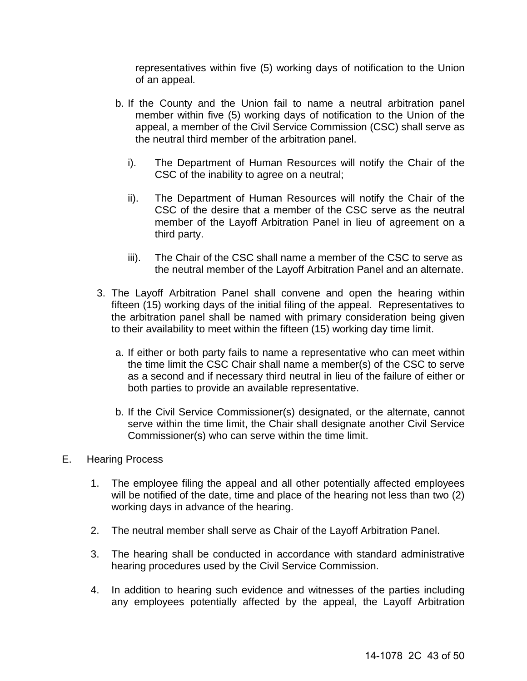representatives within five (5) working days of notification to the Union of an appeal.

- b. If the County and the Union fail to name a neutral arbitration panel member within five (5) working days of notification to the Union of the appeal, a member of the Civil Service Commission (CSC) shall serve as the neutral third member of the arbitration panel.
	- i). The Department of Human Resources will notify the Chair of the CSC of the inability to agree on a neutral;
	- ii). The Department of Human Resources will notify the Chair of the CSC of the desire that a member of the CSC serve as the neutral member of the Layoff Arbitration Panel in lieu of agreement on a third party.
	- iii). The Chair of the CSC shall name a member of the CSC to serve as the neutral member of the Layoff Arbitration Panel and an alternate.
- 3. The Layoff Arbitration Panel shall convene and open the hearing within fifteen (15) working days of the initial filing of the appeal. Representatives to the arbitration panel shall be named with primary consideration being given to their availability to meet within the fifteen (15) working day time limit.
	- a. If either or both party fails to name a representative who can meet within the time limit the CSC Chair shall name a member(s) of the CSC to serve as a second and if necessary third neutral in lieu of the failure of either or both parties to provide an available representative.
	- b. If the Civil Service Commissioner(s) designated, or the alternate, cannot serve within the time limit, the Chair shall designate another Civil Service Commissioner(s) who can serve within the time limit.
- E. Hearing Process
	- 1. The employee filing the appeal and all other potentially affected employees will be notified of the date, time and place of the hearing not less than two (2) working days in advance of the hearing.
	- 2. The neutral member shall serve as Chair of the Layoff Arbitration Panel.
	- 3. The hearing shall be conducted in accordance with standard administrative hearing procedures used by the Civil Service Commission.
	- 4. In addition to hearing such evidence and witnesses of the parties including any employees potentially affected by the appeal, the Layoff Arbitration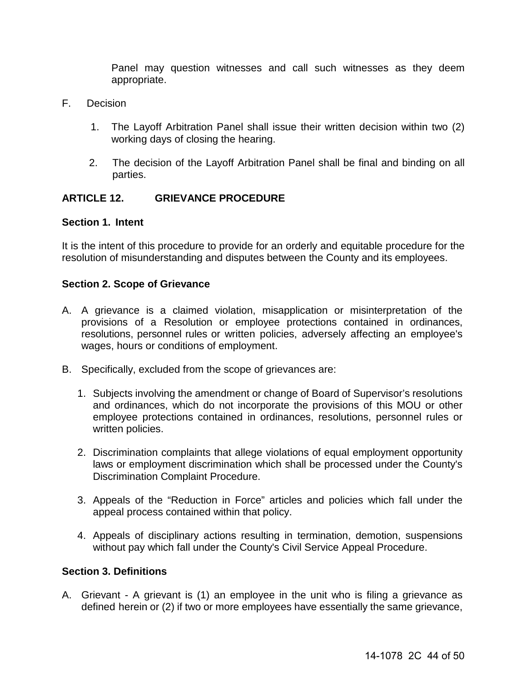Panel may question witnesses and call such witnesses as they deem appropriate.

- F. Decision
	- 1. The Layoff Arbitration Panel shall issue their written decision within two (2) working days of closing the hearing.
	- 2. The decision of the Layoff Arbitration Panel shall be final and binding on all parties.

## <span id="page-43-0"></span>**ARTICLE 12. GRIEVANCE PROCEDURE**

#### **Section 1. Intent**

It is the intent of this procedure to provide for an orderly and equitable procedure for the resolution of misunderstanding and disputes between the County and its employees.

#### **Section 2. Scope of Grievance**

- A. A grievance is a claimed violation, misapplication or misinterpretation of the provisions of a Resolution or employee protections contained in ordinances, resolutions, personnel rules or written policies, adversely affecting an employee's wages, hours or conditions of employment.
- B. Specifically, excluded from the scope of grievances are:
	- 1. Subjects involving the amendment or change of Board of Supervisor's resolutions and ordinances, which do not incorporate the provisions of this MOU or other employee protections contained in ordinances, resolutions, personnel rules or written policies.
	- 2. Discrimination complaints that allege violations of equal employment opportunity laws or employment discrimination which shall be processed under the County's Discrimination Complaint Procedure.
	- 3. Appeals of the "Reduction in Force" articles and policies which fall under the appeal process contained within that policy.
	- 4. Appeals of disciplinary actions resulting in termination, demotion, suspensions without pay which fall under the County's Civil Service Appeal Procedure.

#### **Section 3. Definitions**

A. Grievant - A grievant is (1) an employee in the unit who is filing a grievance as defined herein or (2) if two or more employees have essentially the same grievance,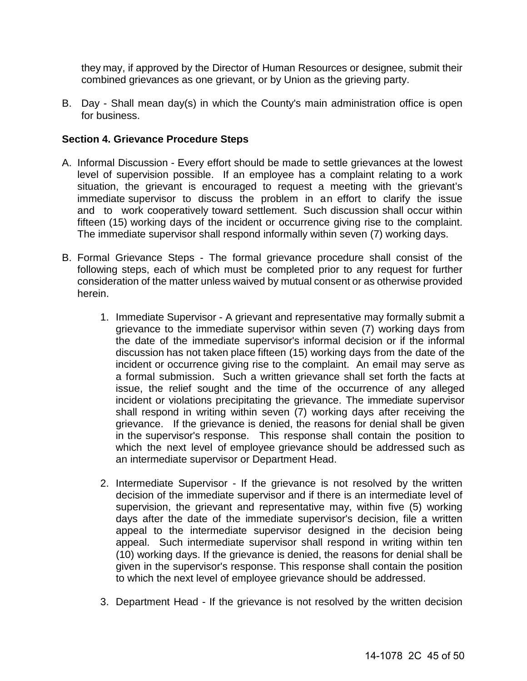they may, if approved by the Director of Human Resources or designee, submit their combined grievances as one grievant, or by Union as the grieving party.

B. Day - Shall mean day(s) in which the County's main administration office is open for business.

#### **Section 4. Grievance Procedure Steps**

- A. Informal Discussion Every effort should be made to settle grievances at the lowest level of supervision possible. If an employee has a complaint relating to a work situation, the grievant is encouraged to request a meeting with the grievant's immediate supervisor to discuss the problem in an effort to clarify the issue and to work cooperatively toward settlement. Such discussion shall occur within fifteen (15) working days of the incident or occurrence giving rise to the complaint. The immediate supervisor shall respond informally within seven (7) working days.
- B. Formal Grievance Steps The formal grievance procedure shall consist of the following steps, each of which must be completed prior to any request for further consideration of the matter unless waived by mutual consent or as otherwise provided herein.
	- 1. Immediate Supervisor A grievant and representative may formally submit a grievance to the immediate supervisor within seven (7) working days from the date of the immediate supervisor's informal decision or if the informal discussion has not taken place fifteen (15) working days from the date of the incident or occurrence giving rise to the complaint. An email may serve as a formal submission. Such a written grievance shall set forth the facts at issue, the relief sought and the time of the occurrence of any alleged incident or violations precipitating the grievance. The immediate supervisor shall respond in writing within seven (7) working days after receiving the grievance. If the grievance is denied, the reasons for denial shall be given in the supervisor's response. This response shall contain the position to which the next level of employee grievance should be addressed such as an intermediate supervisor or Department Head.
	- 2. Intermediate Supervisor If the grievance is not resolved by the written decision of the immediate supervisor and if there is an intermediate level of supervision, the grievant and representative may, within five (5) working days after the date of the immediate supervisor's decision, file a written appeal to the intermediate supervisor designed in the decision being appeal. Such intermediate supervisor shall respond in writing within ten (10) working days. If the grievance is denied, the reasons for denial shall be given in the supervisor's response. This response shall contain the position to which the next level of employee grievance should be addressed.
	- 3. Department Head If the grievance is not resolved by the written decision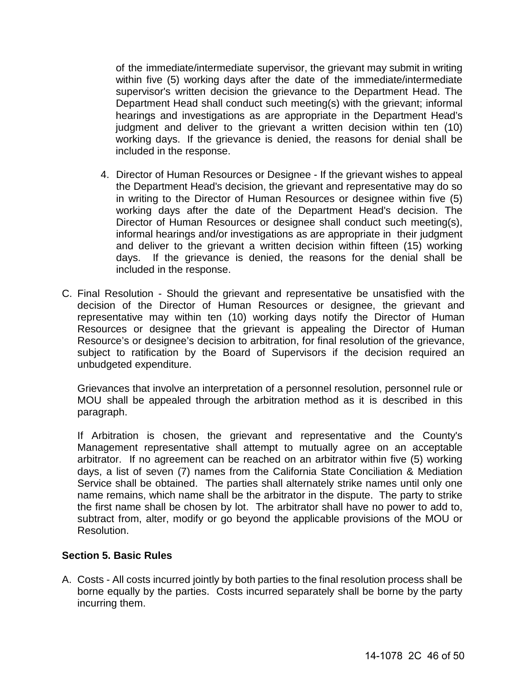of the immediate/intermediate supervisor, the grievant may submit in writing within five (5) working days after the date of the immediate/intermediate supervisor's written decision the grievance to the Department Head. The Department Head shall conduct such meeting(s) with the grievant; informal hearings and investigations as are appropriate in the Department Head's judgment and deliver to the grievant a written decision within ten (10) working days. If the grievance is denied, the reasons for denial shall be included in the response.

- 4. Director of Human Resources or Designee If the grievant wishes to appeal the Department Head's decision, the grievant and representative may do so in writing to the Director of Human Resources or designee within five (5) working days after the date of the Department Head's decision. The Director of Human Resources or designee shall conduct such meeting(s), informal hearings and/or investigations as are appropriate in their judgment and deliver to the grievant a written decision within fifteen (15) working days. If the grievance is denied, the reasons for the denial shall be included in the response.
- C. Final Resolution Should the grievant and representative be unsatisfied with the decision of the Director of Human Resources or designee, the grievant and representative may within ten (10) working days notify the Director of Human Resources or designee that the grievant is appealing the Director of Human Resource's or designee's decision to arbitration, for final resolution of the grievance, subject to ratification by the Board of Supervisors if the decision required an unbudgeted expenditure.

Grievances that involve an interpretation of a personnel resolution, personnel rule or MOU shall be appealed through the arbitration method as it is described in this paragraph.

If Arbitration is chosen, the grievant and representative and the County's Management representative shall attempt to mutually agree on an acceptable arbitrator. If no agreement can be reached on an arbitrator within five (5) working days, a list of seven (7) names from the California State Conciliation & Mediation Service shall be obtained. The parties shall alternately strike names until only one name remains, which name shall be the arbitrator in the dispute. The party to strike the first name shall be chosen by lot. The arbitrator shall have no power to add to, subtract from, alter, modify or go beyond the applicable provisions of the MOU or Resolution.

## **Section 5. Basic Rules**

A. Costs - All costs incurred jointly by both parties to the final resolution process shall be borne equally by the parties. Costs incurred separately shall be borne by the party incurring them.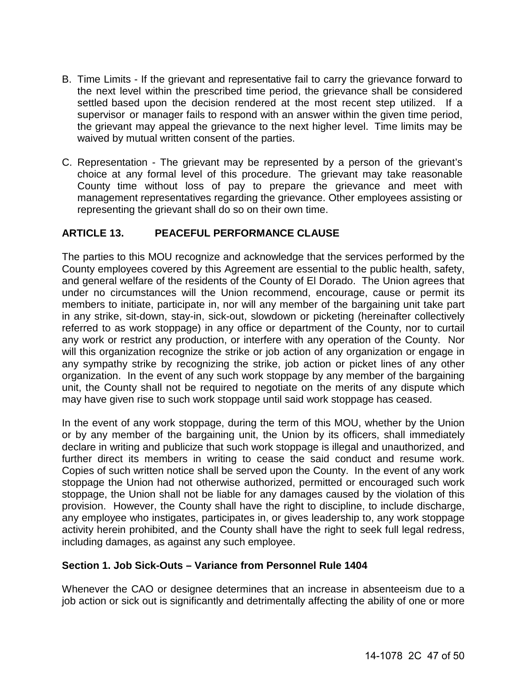- B. Time Limits If the grievant and representative fail to carry the grievance forward to the next level within the prescribed time period, the grievance shall be considered settled based upon the decision rendered at the most recent step utilized. If a supervisor or manager fails to respond with an answer within the given time period, the grievant may appeal the grievance to the next higher level. Time limits may be waived by mutual written consent of the parties.
- C. Representation The grievant may be represented by a person of the grievant's choice at any formal level of this procedure. The grievant may take reasonable County time without loss of pay to prepare the grievance and meet with management representatives regarding the grievance. Other employees assisting or representing the grievant shall do so on their own time.

## <span id="page-46-0"></span>**ARTICLE 13. PEACEFUL PERFORMANCE CLAUSE**

The parties to this MOU recognize and acknowledge that the services performed by the County employees covered by this Agreement are essential to the public health, safety, and general welfare of the residents of the County of El Dorado. The Union agrees that under no circumstances will the Union recommend, encourage, cause or permit its members to initiate, participate in, nor will any member of the bargaining unit take part in any strike, sit-down, stay-in, sick-out, slowdown or picketing (hereinafter collectively referred to as work stoppage) in any office or department of the County, nor to curtail any work or restrict any production, or interfere with any operation of the County. Nor will this organization recognize the strike or job action of any organization or engage in any sympathy strike by recognizing the strike, job action or picket lines of any other organization. In the event of any such work stoppage by any member of the bargaining unit, the County shall not be required to negotiate on the merits of any dispute which may have given rise to such work stoppage until said work stoppage has ceased.

In the event of any work stoppage, during the term of this MOU, whether by the Union or by any member of the bargaining unit, the Union by its officers, shall immediately declare in writing and publicize that such work stoppage is illegal and unauthorized, and further direct its members in writing to cease the said conduct and resume work. Copies of such written notice shall be served upon the County. In the event of any work stoppage the Union had not otherwise authorized, permitted or encouraged such work stoppage, the Union shall not be liable for any damages caused by the violation of this provision. However, the County shall have the right to discipline, to include discharge, any employee who instigates, participates in, or gives leadership to, any work stoppage activity herein prohibited, and the County shall have the right to seek full legal redress, including damages, as against any such employee.

## <span id="page-46-1"></span>**Section 1. Job Sick-Outs – Variance from Personnel Rule 1404**

Whenever the CAO or designee determines that an increase in absenteeism due to a job action or sick out is significantly and detrimentally affecting the ability of one or more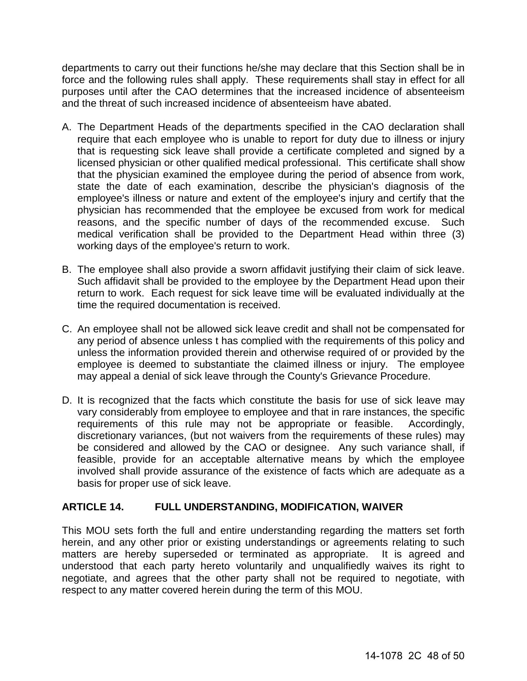departments to carry out their functions he/she may declare that this Section shall be in force and the following rules shall apply. These requirements shall stay in effect for all purposes until after the CAO determines that the increased incidence of absenteeism and the threat of such increased incidence of absenteeism have abated.

- A. The Department Heads of the departments specified in the CAO declaration shall require that each employee who is unable to report for duty due to illness or injury that is requesting sick leave shall provide a certificate completed and signed by a licensed physician or other qualified medical professional. This certificate shall show that the physician examined the employee during the period of absence from work, state the date of each examination, describe the physician's diagnosis of the employee's illness or nature and extent of the employee's injury and certify that the physician has recommended that the employee be excused from work for medical reasons, and the specific number of days of the recommended excuse. Such medical verification shall be provided to the Department Head within three (3) working days of the employee's return to work.
- B. The employee shall also provide a sworn affidavit justifying their claim of sick leave. Such affidavit shall be provided to the employee by the Department Head upon their return to work. Each request for sick leave time will be evaluated individually at the time the required documentation is received.
- C. An employee shall not be allowed sick leave credit and shall not be compensated for any period of absence unless t has complied with the requirements of this policy and unless the information provided therein and otherwise required of or provided by the employee is deemed to substantiate the claimed illness or injury. The employee may appeal a denial of sick leave through the County's Grievance Procedure.
- D. It is recognized that the facts which constitute the basis for use of sick leave may vary considerably from employee to employee and that in rare instances, the specific<br>requirements of this rule may not be appropriate or feasible. Accordingly, requirements of this rule may not be appropriate or feasible. discretionary variances, (but not waivers from the requirements of these rules) may be considered and allowed by the CAO or designee. Any such variance shall, if feasible, provide for an acceptable alternative means by which the employee involved shall provide assurance of the existence of facts which are adequate as a basis for proper use of sick leave.

## <span id="page-47-0"></span>**ARTICLE 14. FULL UNDERSTANDING, MODIFICATION, WAIVER**

This MOU sets forth the full and entire understanding regarding the matters set forth herein, and any other prior or existing understandings or agreements relating to such matters are hereby superseded or terminated as appropriate. It is agreed and understood that each party hereto voluntarily and unqualifiedly waives its right to negotiate, and agrees that the other party shall not be required to negotiate, with respect to any matter covered herein during the term of this MOU.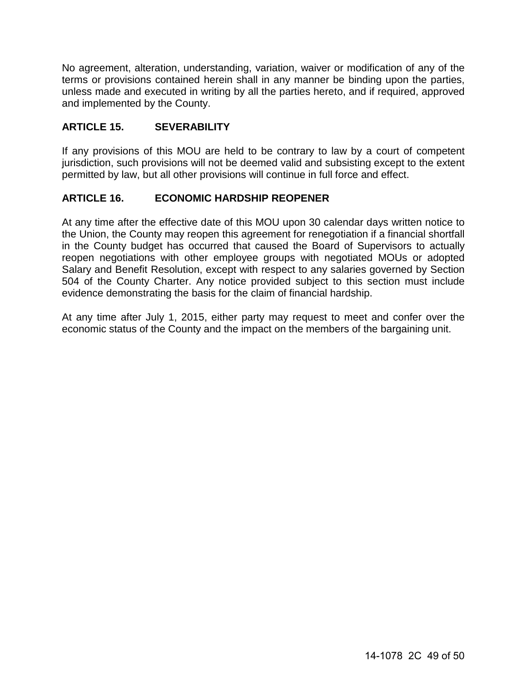No agreement, alteration, understanding, variation, waiver or modification of any of the terms or provisions contained herein shall in any manner be binding upon the parties, unless made and executed in writing by all the parties hereto, and if required, approved and implemented by the County.

## <span id="page-48-0"></span>**ARTICLE 15. SEVERABILITY**

If any provisions of this MOU are held to be contrary to law by a court of competent jurisdiction, such provisions will not be deemed valid and subsisting except to the extent permitted by law, but all other provisions will continue in full force and effect.

## <span id="page-48-1"></span>**ARTICLE 16. ECONOMIC HARDSHIP REOPENER**

At any time after the effective date of this MOU upon 30 calendar days written notice to the Union, the County may reopen this agreement for renegotiation if a financial shortfall in the County budget has occurred that caused the Board of Supervisors to actually reopen negotiations with other employee groups with negotiated MOUs or adopted Salary and Benefit Resolution, except with respect to any salaries governed by Section 504 of the County Charter. Any notice provided subject to this section must include evidence demonstrating the basis for the claim of financial hardship.

At any time after July 1, 2015, either party may request to meet and confer over the economic status of the County and the impact on the members of the bargaining unit.